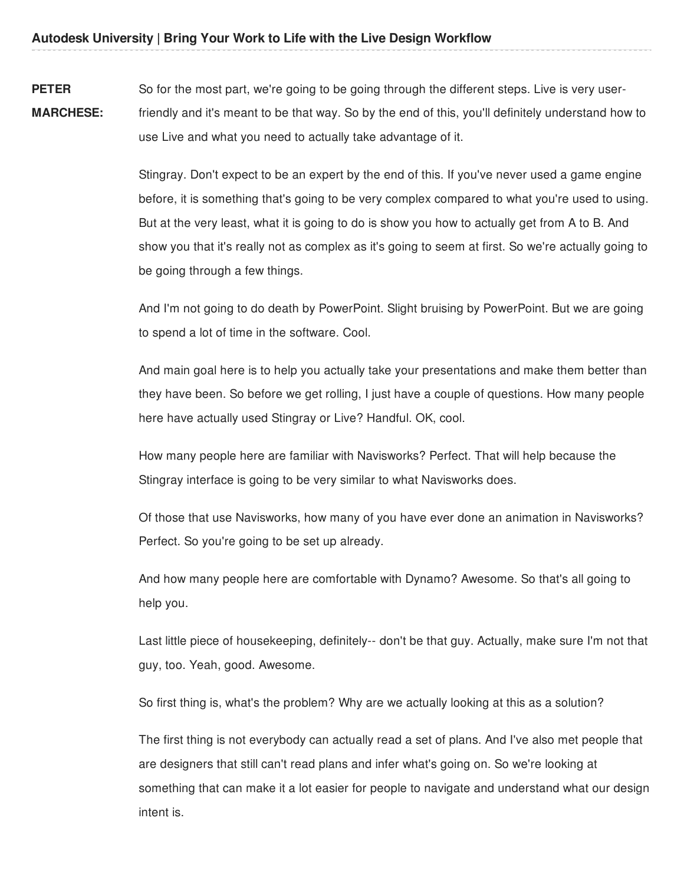**PETER MARCHESE:** So for the most part, we're going to be going through the different steps. Live is very userfriendly and it's meant to be that way. So by the end of this, you'll definitely understand how to use Live and what you need to actually take advantage of it.

> Stingray. Don't expect to be an expert by the end of this. If you've never used a game engine before, it is something that's going to be very complex compared to what you're used to using. But at the very least, what it is going to do is show you how to actually get from A to B. And show you that it's really not as complex as it's going to seem at first. So we're actually going to be going through a few things.

> And I'm not going to do death by PowerPoint. Slight bruising by PowerPoint. But we are going to spend a lot of time in the software. Cool.

> And main goal here is to help you actually take your presentations and make them better than they have been. So before we get rolling, I just have a couple of questions. How many people here have actually used Stingray or Live? Handful. OK, cool.

How many people here are familiar with Navisworks? Perfect. That will help because the Stingray interface is going to be very similar to what Navisworks does.

Of those that use Navisworks, how many of you have ever done an animation in Navisworks? Perfect. So you're going to be set up already.

And how many people here are comfortable with Dynamo? Awesome. So that's all going to help you.

Last little piece of housekeeping, definitely-- don't be that guy. Actually, make sure I'm not that guy, too. Yeah, good. Awesome.

So first thing is, what's the problem? Why are we actually looking at this as a solution?

The first thing is not everybody can actually read a set of plans. And I've also met people that are designers that still can't read plans and infer what's going on. So we're looking at something that can make it a lot easier for people to navigate and understand what our design intent is.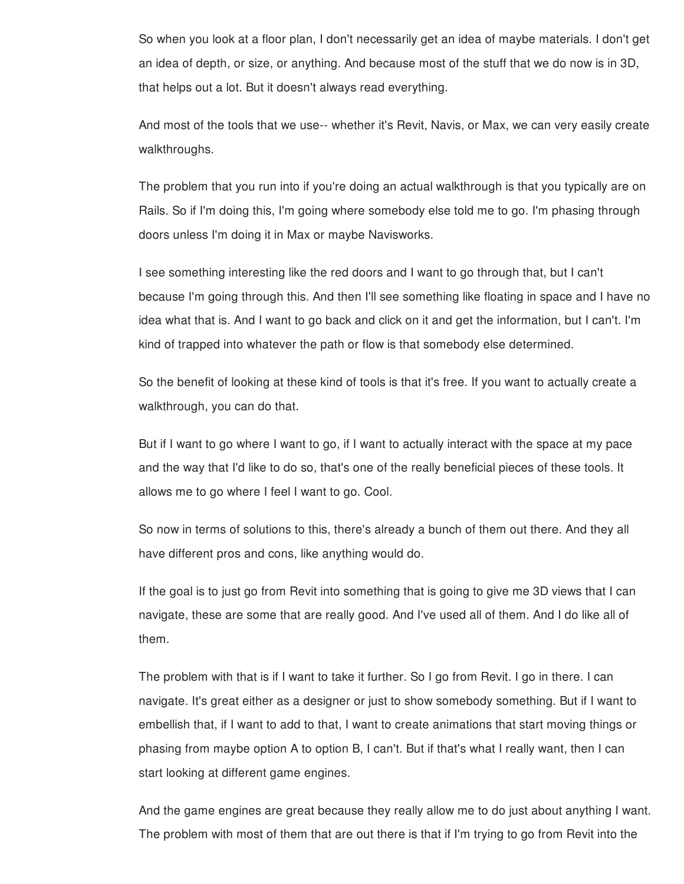So when you look at a floor plan, I don't necessarily get an idea of maybe materials. I don't get an idea of depth, or size, or anything. And because most of the stuff that we do now is in 3D, that helps out a lot. But it doesn't always read everything.

And most of the tools that we use-- whether it's Revit, Navis, or Max, we can very easily create walkthroughs.

The problem that you run into if you're doing an actual walkthrough is that you typically are on Rails. So if I'm doing this, I'm going where somebody else told me to go. I'm phasing through doors unless I'm doing it in Max or maybe Navisworks.

I see something interesting like the red doors and I want to go through that, but I can't because I'm going through this. And then I'll see something like floating in space and I have no idea what that is. And I want to go back and click on it and get the information, but I can't. I'm kind of trapped into whatever the path or flow is that somebody else determined.

So the benefit of looking at these kind of tools is that it's free. If you want to actually create a walkthrough, you can do that.

But if I want to go where I want to go, if I want to actually interact with the space at my pace and the way that I'd like to do so, that's one of the really beneficial pieces of these tools. It allows me to go where I feel I want to go. Cool.

So now in terms of solutions to this, there's already a bunch of them out there. And they all have different pros and cons, like anything would do.

If the goal is to just go from Revit into something that is going to give me 3D views that I can navigate, these are some that are really good. And I've used all of them. And I do like all of them.

The problem with that is if I want to take it further. So I go from Revit. I go in there. I can navigate. It's great either as a designer or just to show somebody something. But if I want to embellish that, if I want to add to that, I want to create animations that start moving things or phasing from maybe option A to option B, I can't. But if that's what I really want, then I can start looking at different game engines.

And the game engines are great because they really allow me to do just about anything I want. The problem with most of them that are out there is that if I'm trying to go from Revit into the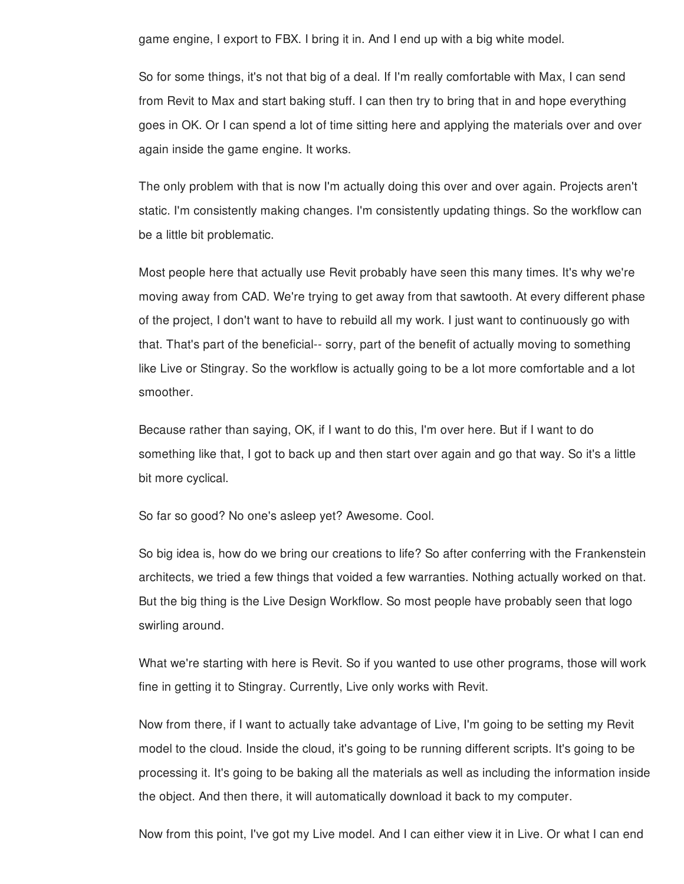game engine, I export to FBX. I bring it in. And I end up with a big white model.

So for some things, it's not that big of a deal. If I'm really comfortable with Max, I can send from Revit to Max and start baking stuff. I can then try to bring that in and hope everything goes in OK. Or I can spend a lot of time sitting here and applying the materials over and over again inside the game engine. It works.

The only problem with that is now I'm actually doing this over and over again. Projects aren't static. I'm consistently making changes. I'm consistently updating things. So the workflow can be a little bit problematic.

Most people here that actually use Revit probably have seen this many times. It's why we're moving away from CAD. We're trying to get away from that sawtooth. At every different phase of the project, I don't want to have to rebuild all my work. I just want to continuously go with that. That's part of the beneficial-- sorry, part of the benefit of actually moving to something like Live or Stingray. So the workflow is actually going to be a lot more comfortable and a lot smoother.

Because rather than saying, OK, if I want to do this, I'm over here. But if I want to do something like that, I got to back up and then start over again and go that way. So it's a little bit more cyclical.

So far so good? No one's asleep yet? Awesome. Cool.

So big idea is, how do we bring our creations to life? So after conferring with the Frankenstein architects, we tried a few things that voided a few warranties. Nothing actually worked on that. But the big thing is the Live Design Workflow. So most people have probably seen that logo swirling around.

What we're starting with here is Revit. So if you wanted to use other programs, those will work fine in getting it to Stingray. Currently, Live only works with Revit.

Now from there, if I want to actually take advantage of Live, I'm going to be setting my Revit model to the cloud. Inside the cloud, it's going to be running different scripts. It's going to be processing it. It's going to be baking all the materials as well as including the information inside the object. And then there, it will automatically download it back to my computer.

Now from this point, I've got my Live model. And I can either view it in Live. Or what I can end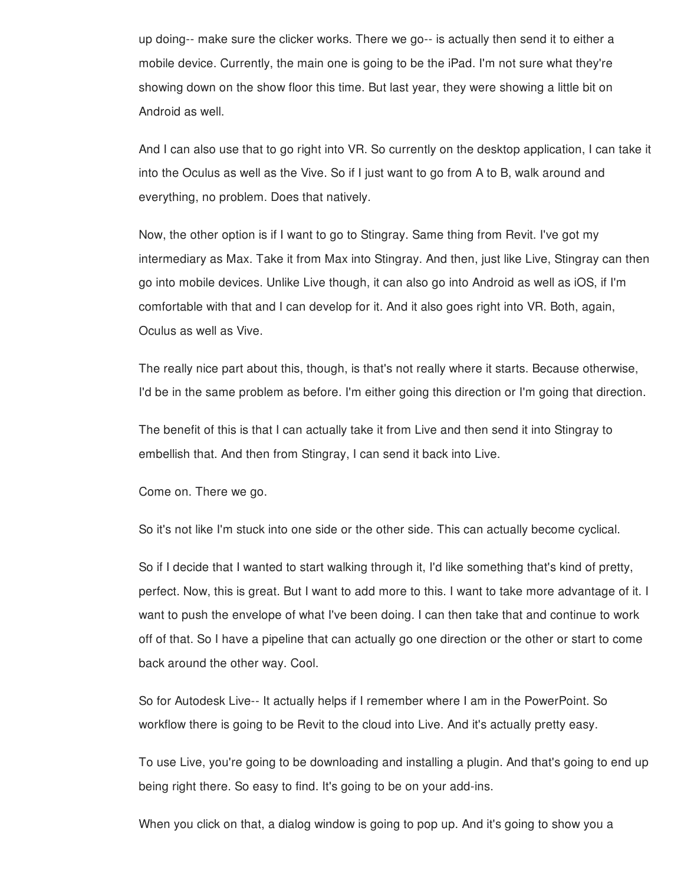up doing-- make sure the clicker works. There we go-- is actually then send it to either a mobile device. Currently, the main one is going to be the iPad. I'm not sure what they're showing down on the show floor this time. But last year, they were showing a little bit on Android as well.

And I can also use that to go right into VR. So currently on the desktop application, I can take it into the Oculus as well as the Vive. So if I just want to go from A to B, walk around and everything, no problem. Does that natively.

Now, the other option is if I want to go to Stingray. Same thing from Revit. I've got my intermediary as Max. Take it from Max into Stingray. And then, just like Live, Stingray can then go into mobile devices. Unlike Live though, it can also go into Android as well as iOS, if I'm comfortable with that and I can develop for it. And it also goes right into VR. Both, again, Oculus as well as Vive.

The really nice part about this, though, is that's not really where it starts. Because otherwise, I'd be in the same problem as before. I'm either going this direction or I'm going that direction.

The benefit of this is that I can actually take it from Live and then send it into Stingray to embellish that. And then from Stingray, I can send it back into Live.

Come on. There we go.

So it's not like I'm stuck into one side or the other side. This can actually become cyclical.

So if I decide that I wanted to start walking through it, I'd like something that's kind of pretty, perfect. Now, this is great. But I want to add more to this. I want to take more advantage of it. I want to push the envelope of what I've been doing. I can then take that and continue to work off of that. So I have a pipeline that can actually go one direction or the other or start to come back around the other way. Cool.

So for Autodesk Live-- It actually helps if I remember where I am in the PowerPoint. So workflow there is going to be Revit to the cloud into Live. And it's actually pretty easy.

To use Live, you're going to be downloading and installing a plugin. And that's going to end up being right there. So easy to find. It's going to be on your add-ins.

When you click on that, a dialog window is going to pop up. And it's going to show you a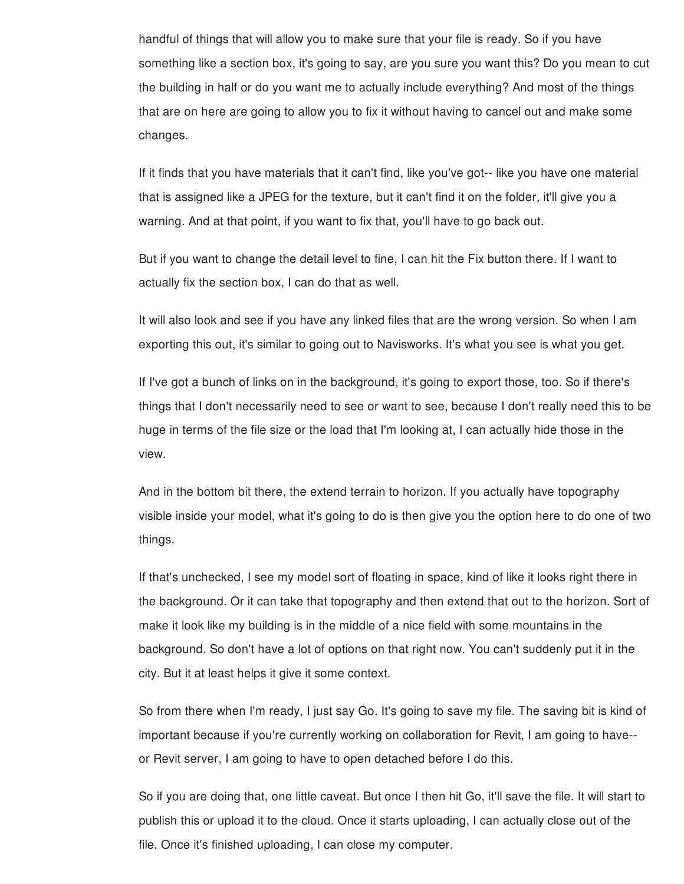handful of things that will allow you to make sure that your file is ready. So if you have something like a section box, it's going to say, are you sure you want this? Do you mean to cut the building in half or do you want me to actually include everything? And most of the things that are on here are going to allow you to fix it without having to cancel out and make some changes.

If it finds that you have materials that it can't find, like you've got-- like you have one material that is assigned like a JPEG for the texture, but it can't find it on the folder, it'll give you a warning. And at that point, if you want to fix that, you'll have to go back out.

But if you want to change the detail level to fine, I can hit the Fix button there. If I want to actually fix the section box, I can do that as well.

It will also look and see if you have any linked files that are the wrong version. So when I am exporting this out, it's similar to going out to Navisworks. It's what you see is what you get.

If I've got a bunch of links on in the background, it's going to export those, too. So if there's things that I don't necessarily need to see or want to see, because I don't really need this to be huge in terms of the file size or the load that I'm looking at, I can actually hide those in the view.

And in the bottom bit there, the extend terrain to horizon. If you actually have topography visible inside your model, what it's going to do is then give you the option here to do one of two things.

If that's unchecked, I see my model sort of floating in space, kind of like it looks right there in the background. Or it can take that topography and then extend that out to the horizon. Sort of make it look like my building is in the middle of a nice field with some mountains in the background. So don't have a lot of options on that right now. You can't suddenly put it in the city. But it at least helps it give it some context.

So from there when I'm ready, I just say Go. It's going to save my file. The saving bit is kind of important because if you're currently working on collaboration for Revit, I am going to have- or Revit server, I am going to have to open detached before I do this.

So if you are doing that, one little caveat. But once I then hit Go, it'll save the file. It will start to publish this or upload it to the cloud. Once it starts uploading, I can actually close out of the file. Once it's finished uploading, I can close my computer.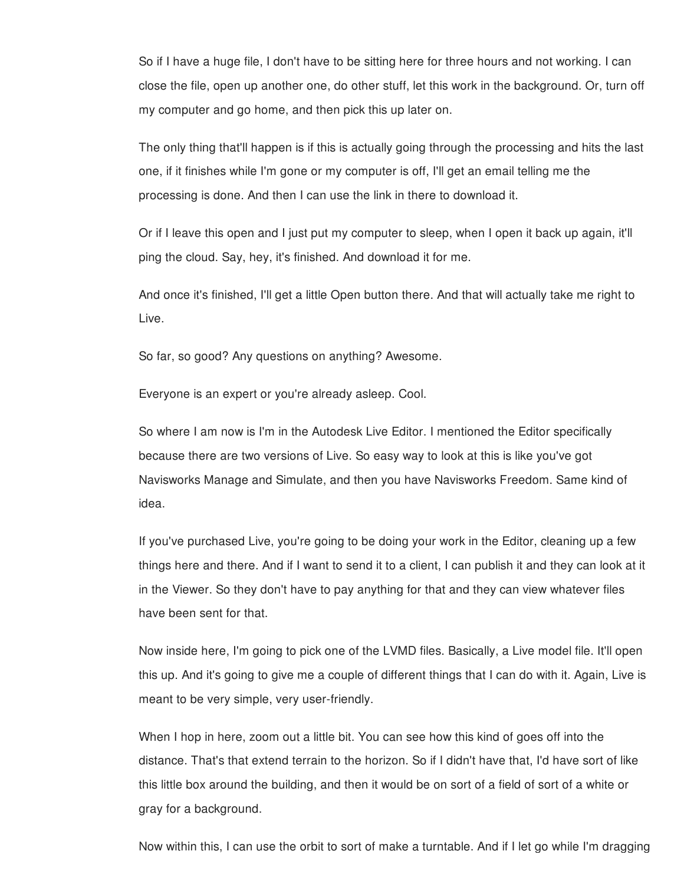So if I have a huge file, I don't have to be sitting here for three hours and not working. I can close the file, open up another one, do other stuff, let this work in the background. Or, turn off my computer and go home, and then pick this up later on.

The only thing that'll happen is if this is actually going through the processing and hits the last one, if it finishes while I'm gone or my computer is off, I'll get an email telling me the processing is done. And then I can use the link in there to download it.

Or if I leave this open and I just put my computer to sleep, when I open it back up again, it'll ping the cloud. Say, hey, it's finished. And download it for me.

And once it's finished, I'll get a little Open button there. And that will actually take me right to Live.

So far, so good? Any questions on anything? Awesome.

Everyone is an expert or you're already asleep. Cool.

So where I am now is I'm in the Autodesk Live Editor. I mentioned the Editor specifically because there are two versions of Live. So easy way to look at this is like you've got Navisworks Manage and Simulate, and then you have Navisworks Freedom. Same kind of idea.

If you've purchased Live, you're going to be doing your work in the Editor, cleaning up a few things here and there. And if I want to send it to a client, I can publish it and they can look at it in the Viewer. So they don't have to pay anything for that and they can view whatever files have been sent for that.

Now inside here, I'm going to pick one of the LVMD files. Basically, a Live model file. It'll open this up. And it's going to give me a couple of different things that I can do with it. Again, Live is meant to be very simple, very user-friendly.

When I hop in here, zoom out a little bit. You can see how this kind of goes off into the distance. That's that extend terrain to the horizon. So if I didn't have that, I'd have sort of like this little box around the building, and then it would be on sort of a field of sort of a white or gray for a background.

Now within this, I can use the orbit to sort of make a turntable. And if I let go while I'm dragging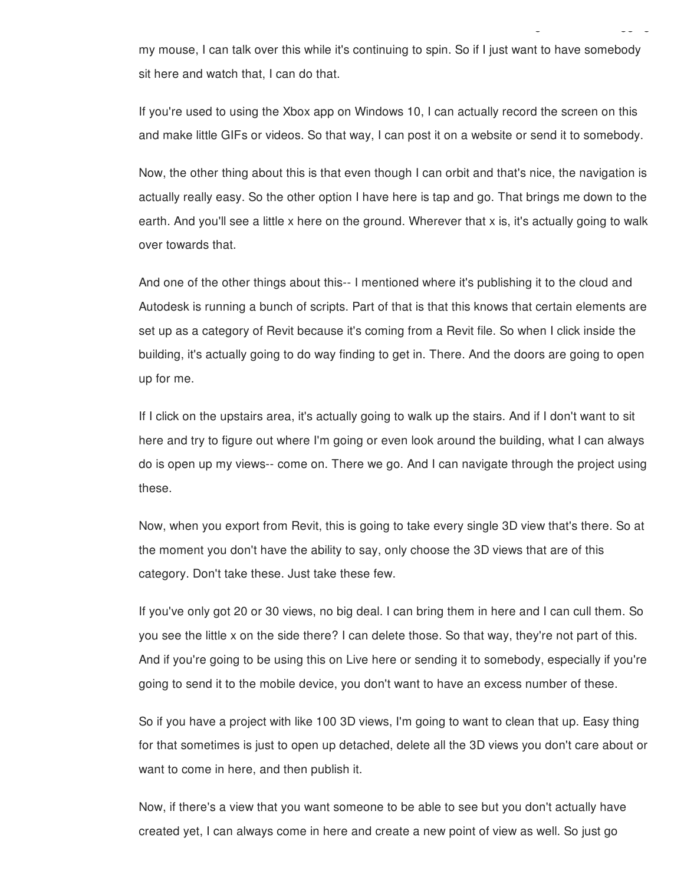my mouse, I can talk over this while it's continuing to spin. So if I just want to have somebody sit here and watch that, I can do that.

Now within this, I can use the orbit to sort of make a turntable. And if I let go while I'm dragging

If you're used to using the Xbox app on Windows 10, I can actually record the screen on this and make little GIFs or videos. So that way, I can post it on a website or send it to somebody.

Now, the other thing about this is that even though I can orbit and that's nice, the navigation is actually really easy. So the other option I have here is tap and go. That brings me down to the earth. And you'll see a little x here on the ground. Wherever that x is, it's actually going to walk over towards that.

And one of the other things about this-- I mentioned where it's publishing it to the cloud and Autodesk is running a bunch of scripts. Part of that is that this knows that certain elements are set up as a category of Revit because it's coming from a Revit file. So when I click inside the building, it's actually going to do way finding to get in. There. And the doors are going to open up for me.

If I click on the upstairs area, it's actually going to walk up the stairs. And if I don't want to sit here and try to figure out where I'm going or even look around the building, what I can always do is open up my views-- come on. There we go. And I can navigate through the project using these.

Now, when you export from Revit, this is going to take every single 3D view that's there. So at the moment you don't have the ability to say, only choose the 3D views that are of this category. Don't take these. Just take these few.

If you've only got 20 or 30 views, no big deal. I can bring them in here and I can cull them. So you see the little x on the side there? I can delete those. So that way, they're not part of this. And if you're going to be using this on Live here or sending it to somebody, especially if you're going to send it to the mobile device, you don't want to have an excess number of these.

So if you have a project with like 100 3D views, I'm going to want to clean that up. Easy thing for that sometimes is just to open up detached, delete all the 3D views you don't care about or want to come in here, and then publish it.

Now, if there's a view that you want someone to be able to see but you don't actually have created yet, I can always come in here and create a new point of view as well. So just go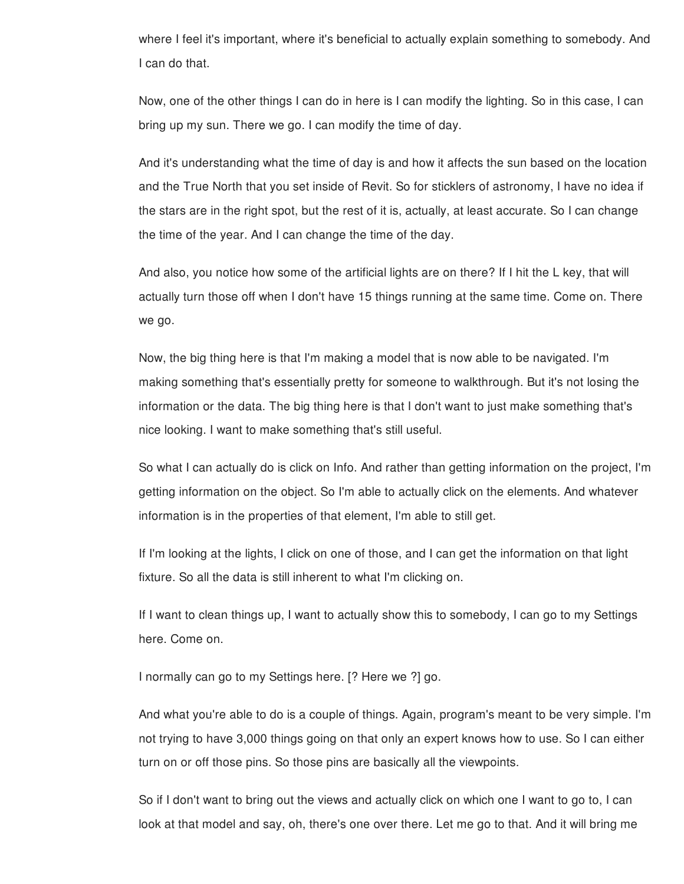where I feel it's important, where it's beneficial to actually explain something to somebody. And I can do that.

Now, one of the other things I can do in here is I can modify the lighting. So in this case, I can bring up my sun. There we go. I can modify the time of day.

And it's understanding what the time of day is and how it affects the sun based on the location and the True North that you set inside of Revit. So for sticklers of astronomy, I have no idea if the stars are in the right spot, but the rest of it is, actually, at least accurate. So I can change the time of the year. And I can change the time of the day.

And also, you notice how some of the artificial lights are on there? If I hit the L key, that will actually turn those off when I don't have 15 things running at the same time. Come on. There we go.

Now, the big thing here is that I'm making a model that is now able to be navigated. I'm making something that's essentially pretty for someone to walkthrough. But it's not losing the information or the data. The big thing here is that I don't want to just make something that's nice looking. I want to make something that's still useful.

So what I can actually do is click on Info. And rather than getting information on the project, I'm getting information on the object. So I'm able to actually click on the elements. And whatever information is in the properties of that element, I'm able to still get.

If I'm looking at the lights, I click on one of those, and I can get the information on that light fixture. So all the data is still inherent to what I'm clicking on.

If I want to clean things up, I want to actually show this to somebody, I can go to my Settings here. Come on.

I normally can go to my Settings here. [? Here we ?] go.

And what you're able to do is a couple of things. Again, program's meant to be very simple. I'm not trying to have 3,000 things going on that only an expert knows how to use. So I can either turn on or off those pins. So those pins are basically all the viewpoints.

So if I don't want to bring out the views and actually click on which one I want to go to, I can look at that model and say, oh, there's one over there. Let me go to that. And it will bring me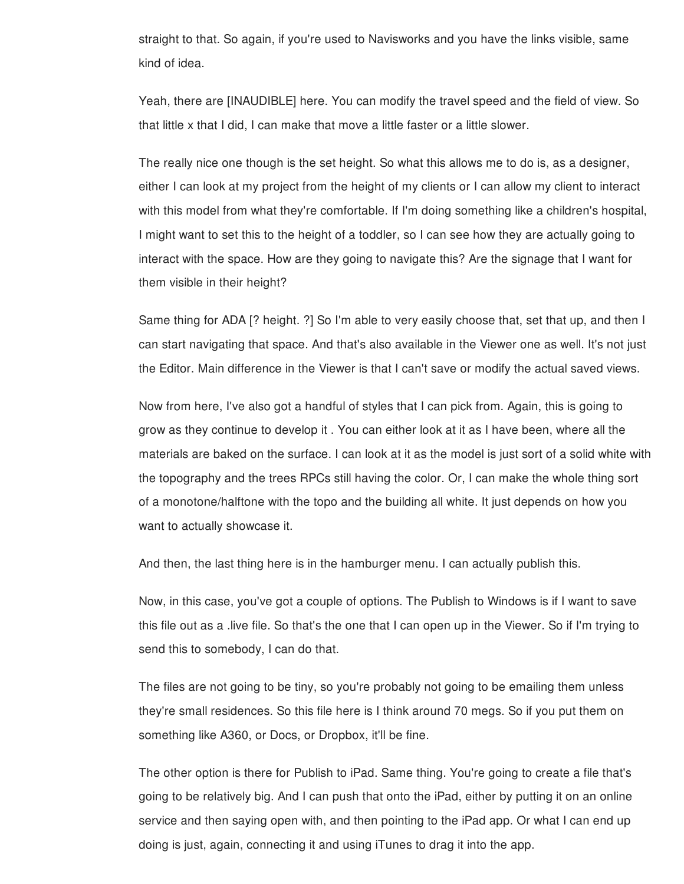straight to that. So again, if you're used to Navisworks and you have the links visible, same kind of idea.

Yeah, there are [INAUDIBLE] here. You can modify the travel speed and the field of view. So that little x that I did, I can make that move a little faster or a little slower.

The really nice one though is the set height. So what this allows me to do is, as a designer, either I can look at my project from the height of my clients or I can allow my client to interact with this model from what they're comfortable. If I'm doing something like a children's hospital, I might want to set this to the height of a toddler, so I can see how they are actually going to interact with the space. How are they going to navigate this? Are the signage that I want for them visible in their height?

Same thing for ADA [? height. ?] So I'm able to very easily choose that, set that up, and then I can start navigating that space. And that's also available in the Viewer one as well. It's not just the Editor. Main difference in the Viewer is that I can't save or modify the actual saved views.

Now from here, I've also got a handful of styles that I can pick from. Again, this is going to grow as they continue to develop it . You can either look at it as I have been, where all the materials are baked on the surface. I can look at it as the model is just sort of a solid white with the topography and the trees RPCs still having the color. Or, I can make the whole thing sort of a monotone/halftone with the topo and the building all white. It just depends on how you want to actually showcase it.

And then, the last thing here is in the hamburger menu. I can actually publish this.

Now, in this case, you've got a couple of options. The Publish to Windows is if I want to save this file out as a .live file. So that's the one that I can open up in the Viewer. So if I'm trying to send this to somebody, I can do that.

The files are not going to be tiny, so you're probably not going to be emailing them unless they're small residences. So this file here is I think around 70 megs. So if you put them on something like A360, or Docs, or Dropbox, it'll be fine.

The other option is there for Publish to iPad. Same thing. You're going to create a file that's going to be relatively big. And I can push that onto the iPad, either by putting it on an online service and then saying open with, and then pointing to the iPad app. Or what I can end up doing is just, again, connecting it and using iTunes to drag it into the app.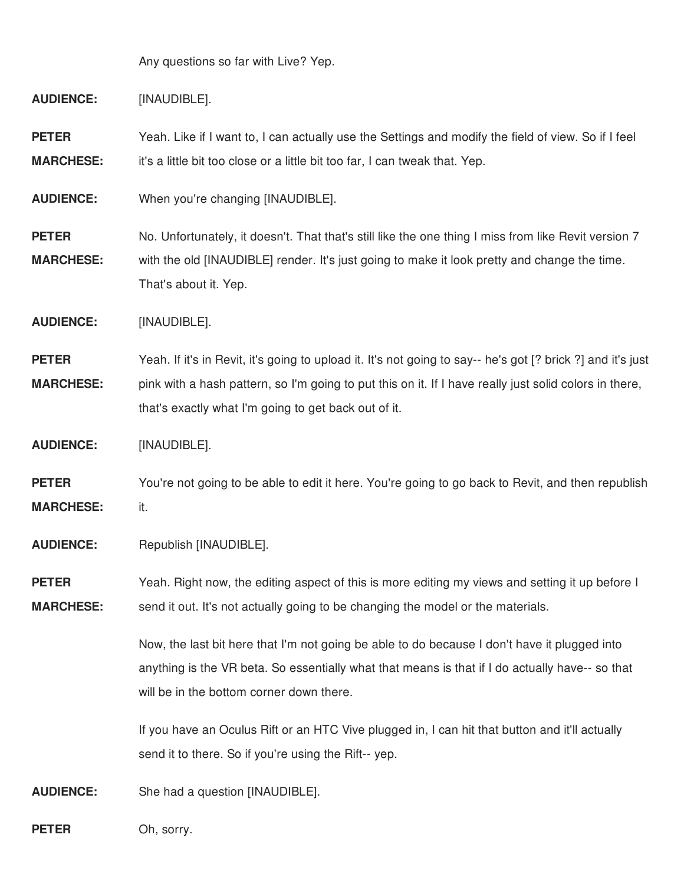Any questions so far with Live? Yep.

**AUDIENCE:** [INAUDIBLE].

**PETER MARCHESE:** Yeah. Like if I want to, I can actually use the Settings and modify the field of view. So if I feel it's a little bit too close or a little bit too far, I can tweak that. Yep.

**AUDIENCE:** When you're changing [INAUDIBLE].

**PETER MARCHESE:** No. Unfortunately, it doesn't. That that's still like the one thing I miss from like Revit version 7 with the old [INAUDIBLE] render. It's just going to make it look pretty and change the time. That's about it. Yep.

**AUDIENCE:** [INAUDIBLE].

**PETER MARCHESE:** Yeah. If it's in Revit, it's going to upload it. It's not going to say-- he's got [? brick ?] and it's just pink with a hash pattern, so I'm going to put this on it. If I have really just solid colors in there, that's exactly what I'm going to get back out of it.

**AUDIENCE:** [INAUDIBLE].

**PETER MARCHESE:** You're not going to be able to edit it here. You're going to go back to Revit, and then republish it.

**AUDIENCE:** Republish [INAUDIBLE].

**PETER MARCHESE:** Yeah. Right now, the editing aspect of this is more editing my views and setting it up before I send it out. It's not actually going to be changing the model or the materials.

> Now, the last bit here that I'm not going be able to do because I don't have it plugged into anything is the VR beta. So essentially what that means is that if I do actually have-- so that will be in the bottom corner down there.

If you have an Oculus Rift or an HTC Vive plugged in, I can hit that button and it'll actually send it to there. So if you're using the Rift-- yep.

**AUDIENCE:** She had a question [INAUDIBLE].

**PETER** Oh, sorry.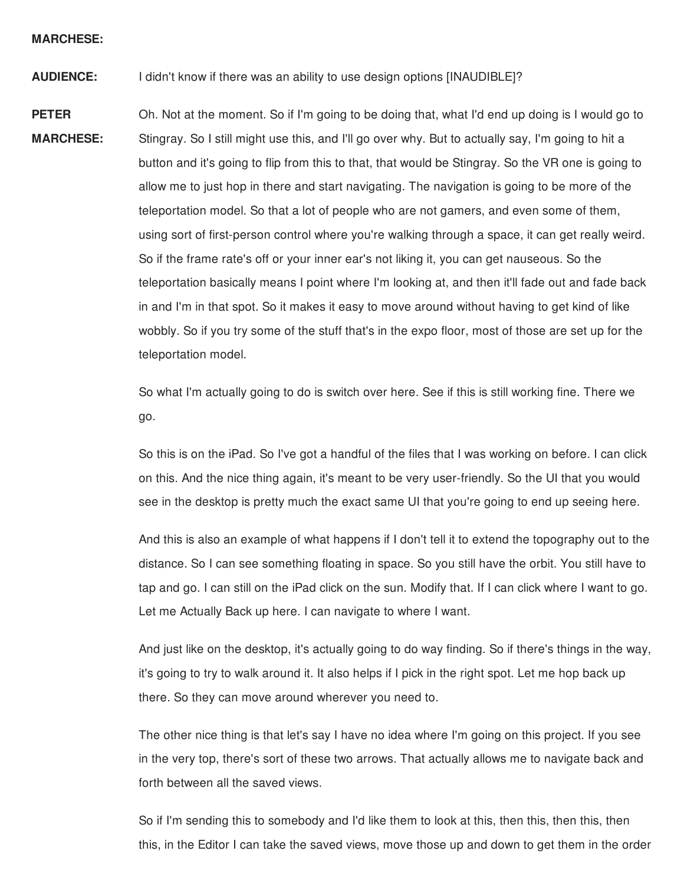### **MARCHESE:**

**AUDIENCE:** I didn't know if there was an ability to use design options [INAUDIBLE]?

**PETER MARCHESE:** Oh. Not at the moment. So if I'm going to be doing that, what I'd end up doing is I would go to Stingray. So I still might use this, and I'll go over why. But to actually say, I'm going to hit a button and it's going to flip from this to that, that would be Stingray. So the VR one is going to allow me to just hop in there and start navigating. The navigation is going to be more of the teleportation model. So that a lot of people who are not gamers, and even some of them, using sort of first-person control where you're walking through a space, it can get really weird. So if the frame rate's off or your inner ear's not liking it, you can get nauseous. So the teleportation basically means I point where I'm looking at, and then it'll fade out and fade back in and I'm in that spot. So it makes it easy to move around without having to get kind of like wobbly. So if you try some of the stuff that's in the expo floor, most of those are set up for the teleportation model.

> So what I'm actually going to do is switch over here. See if this is still working fine. There we go.

So this is on the iPad. So I've got a handful of the files that I was working on before. I can click on this. And the nice thing again, it's meant to be very user-friendly. So the UI that you would see in the desktop is pretty much the exact same UI that you're going to end up seeing here.

And this is also an example of what happens if I don't tell it to extend the topography out to the distance. So I can see something floating in space. So you still have the orbit. You still have to tap and go. I can still on the iPad click on the sun. Modify that. If I can click where I want to go. Let me Actually Back up here. I can navigate to where I want.

And just like on the desktop, it's actually going to do way finding. So if there's things in the way, it's going to try to walk around it. It also helps if I pick in the right spot. Let me hop back up there. So they can move around wherever you need to.

The other nice thing is that let's say I have no idea where I'm going on this project. If you see in the very top, there's sort of these two arrows. That actually allows me to navigate back and forth between all the saved views.

So if I'm sending this to somebody and I'd like them to look at this, then this, then this, then this, in the Editor I can take the saved views, move those up and down to get them in the order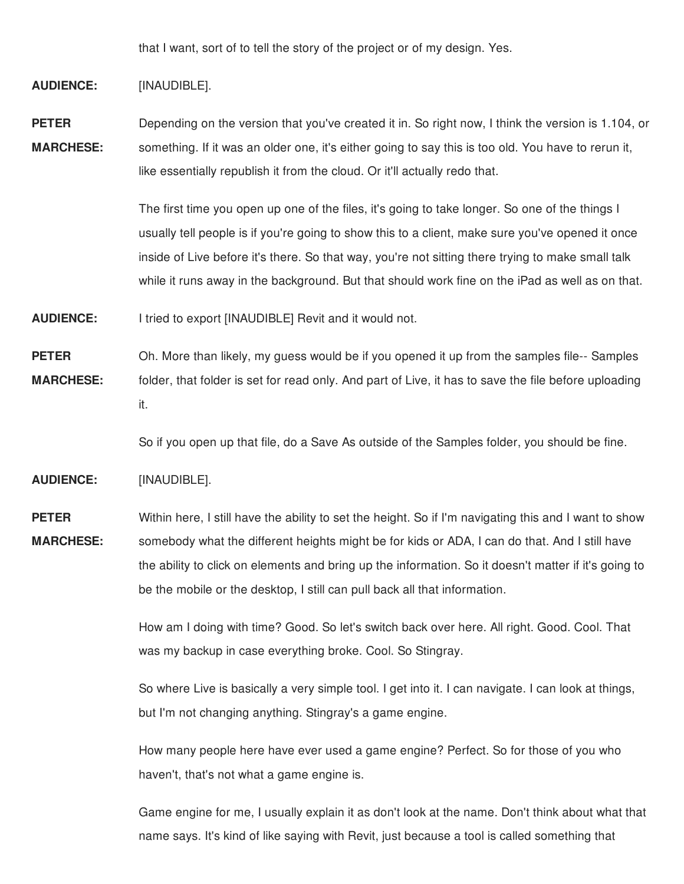that I want, sort of to tell the story of the project or of my design. Yes.

## **AUDIENCE:** [INAUDIBLE].

**PETER MARCHESE:** Depending on the version that you've created it in. So right now, I think the version is 1.104, or something. If it was an older one, it's either going to say this is too old. You have to rerun it, like essentially republish it from the cloud. Or it'll actually redo that.

> The first time you open up one of the files, it's going to take longer. So one of the things I usually tell people is if you're going to show this to a client, make sure you've opened it once inside of Live before it's there. So that way, you're not sitting there trying to make small talk while it runs away in the background. But that should work fine on the iPad as well as on that.

**AUDIENCE:** I tried to export [INAUDIBLE] Revit and it would not.

**PETER MARCHESE:** Oh. More than likely, my guess would be if you opened it up from the samples file-- Samples folder, that folder is set for read only. And part of Live, it has to save the file before uploading it.

So if you open up that file, do a Save As outside of the Samples folder, you should be fine.

**AUDIENCE:** [INAUDIBLE].

**PETER MARCHESE:** Within here, I still have the ability to set the height. So if I'm navigating this and I want to show somebody what the different heights might be for kids or ADA, I can do that. And I still have the ability to click on elements and bring up the information. So it doesn't matter if it's going to be the mobile or the desktop, I still can pull back all that information.

> How am I doing with time? Good. So let's switch back over here. All right. Good. Cool. That was my backup in case everything broke. Cool. So Stingray.

> So where Live is basically a very simple tool. I get into it. I can navigate. I can look at things, but I'm not changing anything. Stingray's a game engine.

How many people here have ever used a game engine? Perfect. So for those of you who haven't, that's not what a game engine is.

Game engine for me, I usually explain it as don't look at the name. Don't think about what that name says. It's kind of like saying with Revit, just because a tool is called something that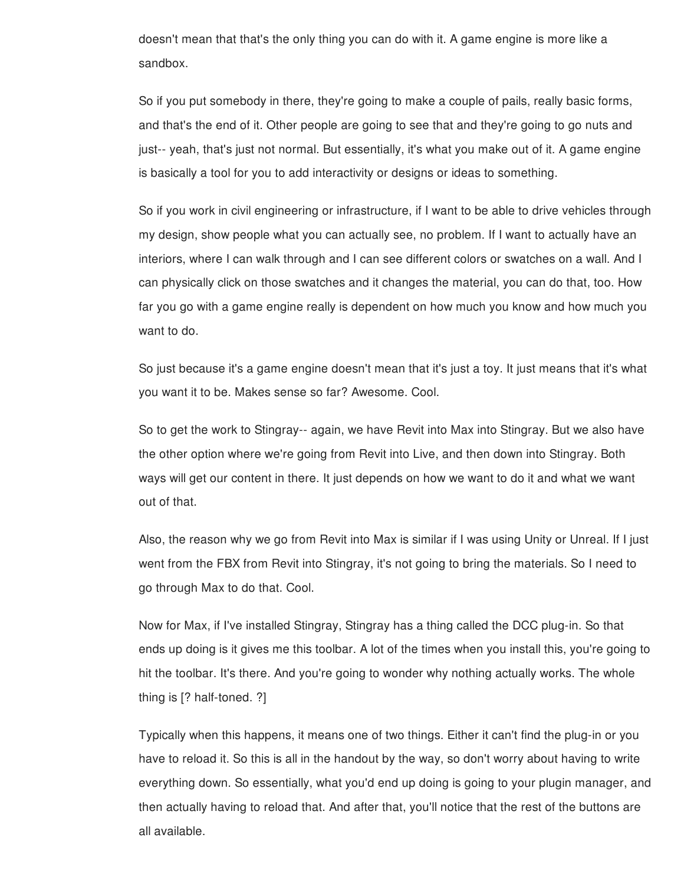doesn't mean that that's the only thing you can do with it. A game engine is more like a sandbox.

So if you put somebody in there, they're going to make a couple of pails, really basic forms, and that's the end of it. Other people are going to see that and they're going to go nuts and just-- yeah, that's just not normal. But essentially, it's what you make out of it. A game engine is basically a tool for you to add interactivity or designs or ideas to something.

So if you work in civil engineering or infrastructure, if I want to be able to drive vehicles through my design, show people what you can actually see, no problem. If I want to actually have an interiors, where I can walk through and I can see different colors or swatches on a wall. And I can physically click on those swatches and it changes the material, you can do that, too. How far you go with a game engine really is dependent on how much you know and how much you want to do.

So just because it's a game engine doesn't mean that it's just a toy. It just means that it's what you want it to be. Makes sense so far? Awesome. Cool.

So to get the work to Stingray-- again, we have Revit into Max into Stingray. But we also have the other option where we're going from Revit into Live, and then down into Stingray. Both ways will get our content in there. It just depends on how we want to do it and what we want out of that.

Also, the reason why we go from Revit into Max is similar if I was using Unity or Unreal. If I just went from the FBX from Revit into Stingray, it's not going to bring the materials. So I need to go through Max to do that. Cool.

Now for Max, if I've installed Stingray, Stingray has a thing called the DCC plug-in. So that ends up doing is it gives me this toolbar. A lot of the times when you install this, you're going to hit the toolbar. It's there. And you're going to wonder why nothing actually works. The whole thing is [? half-toned. ?]

Typically when this happens, it means one of two things. Either it can't find the plug-in or you have to reload it. So this is all in the handout by the way, so don't worry about having to write everything down. So essentially, what you'd end up doing is going to your plugin manager, and then actually having to reload that. And after that, you'll notice that the rest of the buttons are all available.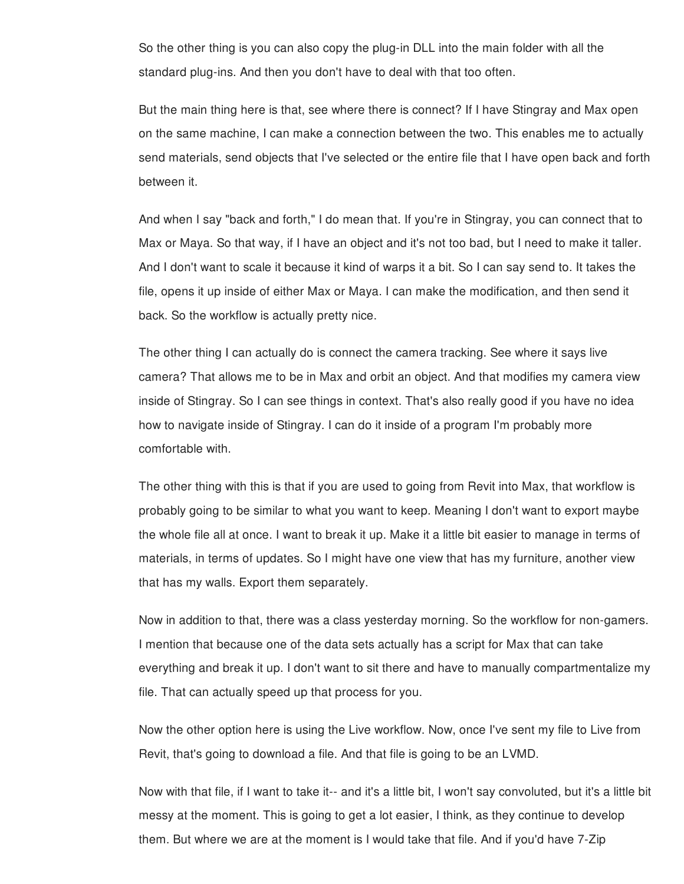So the other thing is you can also copy the plug-in DLL into the main folder with all the standard plug-ins. And then you don't have to deal with that too often.

But the main thing here is that, see where there is connect? If I have Stingray and Max open on the same machine, I can make a connection between the two. This enables me to actually send materials, send objects that I've selected or the entire file that I have open back and forth between it.

And when I say "back and forth," I do mean that. If you're in Stingray, you can connect that to Max or Maya. So that way, if I have an object and it's not too bad, but I need to make it taller. And I don't want to scale it because it kind of warps it a bit. So I can say send to. It takes the file, opens it up inside of either Max or Maya. I can make the modification, and then send it back. So the workflow is actually pretty nice.

The other thing I can actually do is connect the camera tracking. See where it says live camera? That allows me to be in Max and orbit an object. And that modifies my camera view inside of Stingray. So I can see things in context. That's also really good if you have no idea how to navigate inside of Stingray. I can do it inside of a program I'm probably more comfortable with.

The other thing with this is that if you are used to going from Revit into Max, that workflow is probably going to be similar to what you want to keep. Meaning I don't want to export maybe the whole file all at once. I want to break it up. Make it a little bit easier to manage in terms of materials, in terms of updates. So I might have one view that has my furniture, another view that has my walls. Export them separately.

Now in addition to that, there was a class yesterday morning. So the workflow for non-gamers. I mention that because one of the data sets actually has a script for Max that can take everything and break it up. I don't want to sit there and have to manually compartmentalize my file. That can actually speed up that process for you.

Now the other option here is using the Live workflow. Now, once I've sent my file to Live from Revit, that's going to download a file. And that file is going to be an LVMD.

Now with that file, if I want to take it-- and it's a little bit, I won't say convoluted, but it's a little bit messy at the moment. This is going to get a lot easier, I think, as they continue to develop them. But where we are at the moment is I would take that file. And if you'd have 7-Zip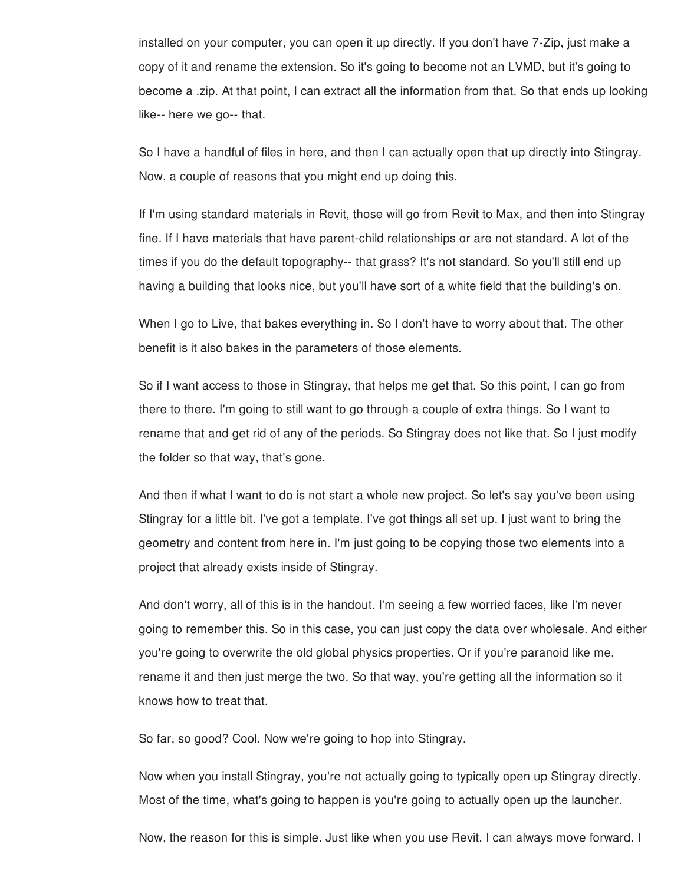installed on your computer, you can open it up directly. If you don't have 7-Zip, just make a copy of it and rename the extension. So it's going to become not an LVMD, but it's going to become a .zip. At that point, I can extract all the information from that. So that ends up looking like-- here we go-- that.

So I have a handful of files in here, and then I can actually open that up directly into Stingray. Now, a couple of reasons that you might end up doing this.

If I'm using standard materials in Revit, those will go from Revit to Max, and then into Stingray fine. If I have materials that have parent-child relationships or are not standard. A lot of the times if you do the default topography-- that grass? It's not standard. So you'll still end up having a building that looks nice, but you'll have sort of a white field that the building's on.

When I go to Live, that bakes everything in. So I don't have to worry about that. The other benefit is it also bakes in the parameters of those elements.

So if I want access to those in Stingray, that helps me get that. So this point, I can go from there to there. I'm going to still want to go through a couple of extra things. So I want to rename that and get rid of any of the periods. So Stingray does not like that. So I just modify the folder so that way, that's gone.

And then if what I want to do is not start a whole new project. So let's say you've been using Stingray for a little bit. I've got a template. I've got things all set up. I just want to bring the geometry and content from here in. I'm just going to be copying those two elements into a project that already exists inside of Stingray.

And don't worry, all of this is in the handout. I'm seeing a few worried faces, like I'm never going to remember this. So in this case, you can just copy the data over wholesale. And either you're going to overwrite the old global physics properties. Or if you're paranoid like me, rename it and then just merge the two. So that way, you're getting all the information so it knows how to treat that.

So far, so good? Cool. Now we're going to hop into Stingray.

Now when you install Stingray, you're not actually going to typically open up Stingray directly. Most of the time, what's going to happen is you're going to actually open up the launcher.

Now, the reason for this is simple. Just like when you use Revit, I can always move forward. I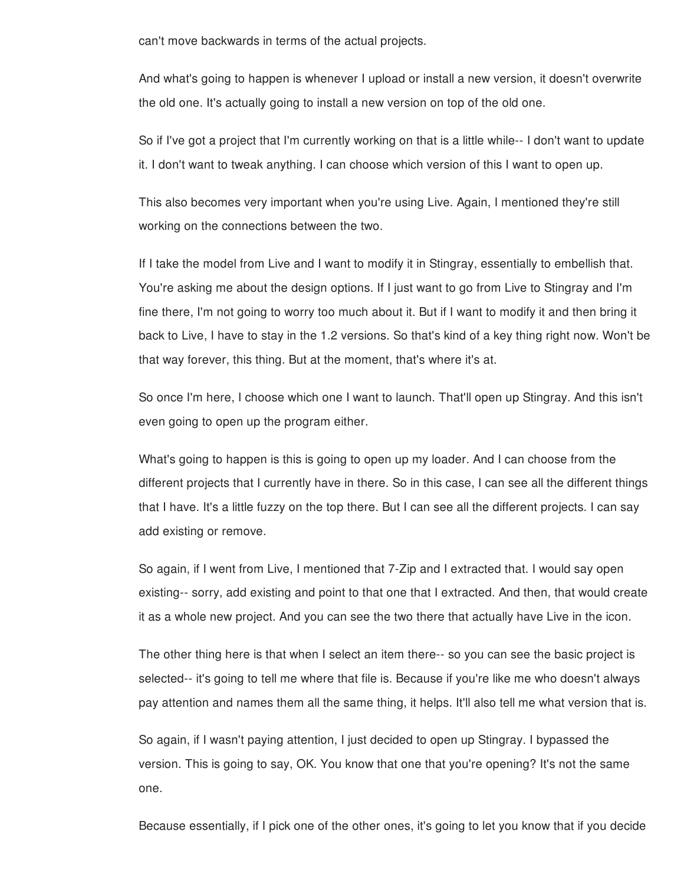can't move backwards in terms of the actual projects.

And what's going to happen is whenever I upload or install a new version, it doesn't overwrite the old one. It's actually going to install a new version on top of the old one.

So if I've got a project that I'm currently working on that is a little while-- I don't want to update it. I don't want to tweak anything. I can choose which version of this I want to open up.

This also becomes very important when you're using Live. Again, I mentioned they're still working on the connections between the two.

If I take the model from Live and I want to modify it in Stingray, essentially to embellish that. You're asking me about the design options. If I just want to go from Live to Stingray and I'm fine there, I'm not going to worry too much about it. But if I want to modify it and then bring it back to Live, I have to stay in the 1.2 versions. So that's kind of a key thing right now. Won't be that way forever, this thing. But at the moment, that's where it's at.

So once I'm here, I choose which one I want to launch. That'll open up Stingray. And this isn't even going to open up the program either.

What's going to happen is this is going to open up my loader. And I can choose from the different projects that I currently have in there. So in this case, I can see all the different things that I have. It's a little fuzzy on the top there. But I can see all the different projects. I can say add existing or remove.

So again, if I went from Live, I mentioned that 7-Zip and I extracted that. I would say open existing-- sorry, add existing and point to that one that I extracted. And then, that would create it as a whole new project. And you can see the two there that actually have Live in the icon.

The other thing here is that when I select an item there-- so you can see the basic project is selected-- it's going to tell me where that file is. Because if you're like me who doesn't always pay attention and names them all the same thing, it helps. It'll also tell me what version that is.

So again, if I wasn't paying attention, I just decided to open up Stingray. I bypassed the version. This is going to say, OK. You know that one that you're opening? It's not the same one.

Because essentially, if I pick one of the other ones, it's going to let you know that if you decide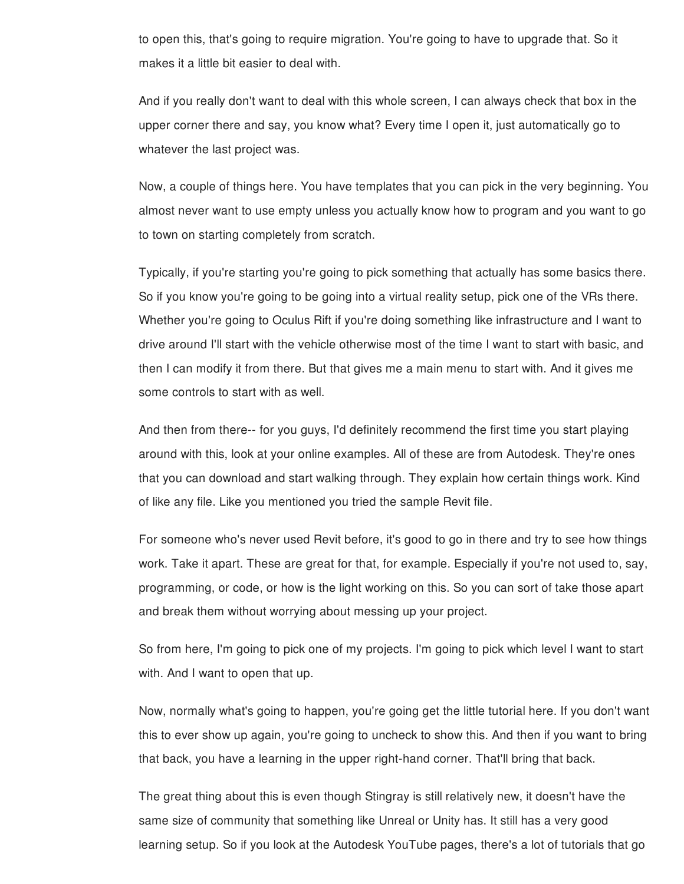to open this, that's going to require migration. You're going to have to upgrade that. So it makes it a little bit easier to deal with.

And if you really don't want to deal with this whole screen, I can always check that box in the upper corner there and say, you know what? Every time I open it, just automatically go to whatever the last project was.

Now, a couple of things here. You have templates that you can pick in the very beginning. You almost never want to use empty unless you actually know how to program and you want to go to town on starting completely from scratch.

Typically, if you're starting you're going to pick something that actually has some basics there. So if you know you're going to be going into a virtual reality setup, pick one of the VRs there. Whether you're going to Oculus Rift if you're doing something like infrastructure and I want to drive around I'll start with the vehicle otherwise most of the time I want to start with basic, and then I can modify it from there. But that gives me a main menu to start with. And it gives me some controls to start with as well.

And then from there-- for you guys, I'd definitely recommend the first time you start playing around with this, look at your online examples. All of these are from Autodesk. They're ones that you can download and start walking through. They explain how certain things work. Kind of like any file. Like you mentioned you tried the sample Revit file.

For someone who's never used Revit before, it's good to go in there and try to see how things work. Take it apart. These are great for that, for example. Especially if you're not used to, say, programming, or code, or how is the light working on this. So you can sort of take those apart and break them without worrying about messing up your project.

So from here, I'm going to pick one of my projects. I'm going to pick which level I want to start with. And I want to open that up.

Now, normally what's going to happen, you're going get the little tutorial here. If you don't want this to ever show up again, you're going to uncheck to show this. And then if you want to bring that back, you have a learning in the upper right-hand corner. That'll bring that back.

The great thing about this is even though Stingray is still relatively new, it doesn't have the same size of community that something like Unreal or Unity has. It still has a very good learning setup. So if you look at the Autodesk YouTube pages, there's a lot of tutorials that go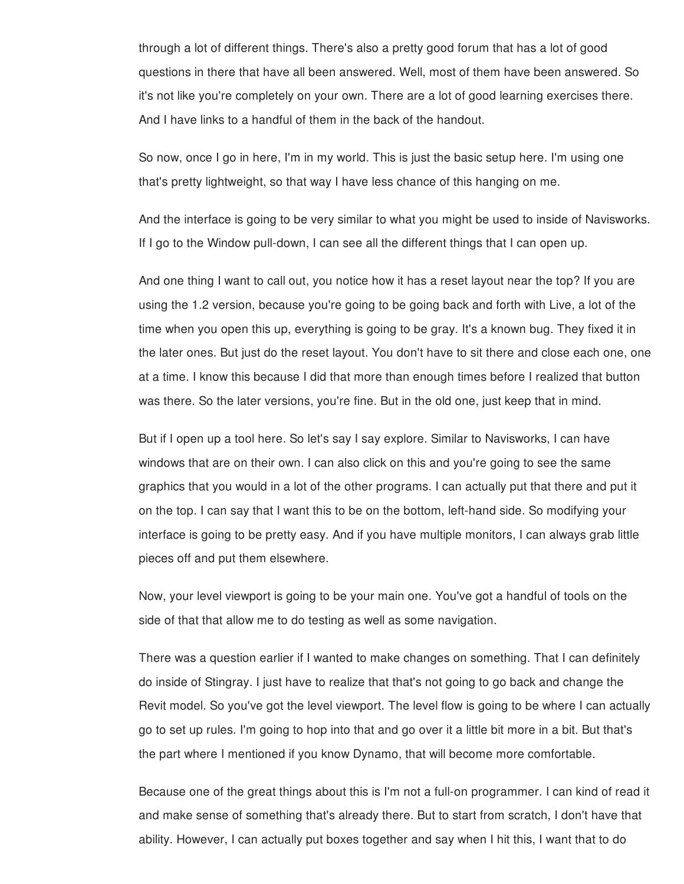through a lot of different things. There's also a pretty good forum that has a lot of good questions in there that have all been answered. Well, most of them have been answered. So it's not like you're completely on your own. There are a lot of good learning exercises there. And I have links to a handful of them in the back of the handout.

So now, once I go in here, I'm in my world. This is just the basic setup here. I'm using one that's pretty lightweight, so that way I have less chance of this hanging on me.

And the interface is going to be very similar to what you might be used to inside of Navisworks. If I go to the Window pull-down, I can see all the different things that I can open up.

And one thing I want to call out, you notice how it has a reset layout near the top? If you are using the 1.2 version, because you're going to be going back and forth with Live, a lot of the time when you open this up, everything is going to be gray. It's a known bug. They fixed it in the later ones. But just do the reset layout. You don't have to sit there and close each one, one at a time. I know this because I did that more than enough times before I realized that button was there. So the later versions, you're fine. But in the old one, just keep that in mind.

But if I open up a tool here. So let's say I say explore. Similar to Navisworks, I can have windows that are on their own. I can also click on this and you're going to see the same graphics that you would in a lot of the other programs. I can actually put that there and put it on the top. I can say that I want this to be on the bottom, left-hand side. So modifying your interface is going to be pretty easy. And if you have multiple monitors, I can always grab little pieces off and put them elsewhere.

Now, your level viewport is going to be your main one. You've got a handful of tools on the side of that that allow me to do testing as well as some navigation.

There was a question earlier if I wanted to make changes on something. That I can definitely do inside of Stingray. I just have to realize that that's not going to go back and change the Revit model. So you've got the level viewport. The level flow is going to be where I can actually go to set up rules. I'm going to hop into that and go over it a little bit more in a bit. But that's the part where I mentioned if you know Dynamo, that will become more comfortable.

Because one of the great things about this is I'm not a full-on programmer. I can kind of read it and make sense of something that's already there. But to start from scratch, I don't have that ability. However, I can actually put boxes together and say when I hit this, I want that to do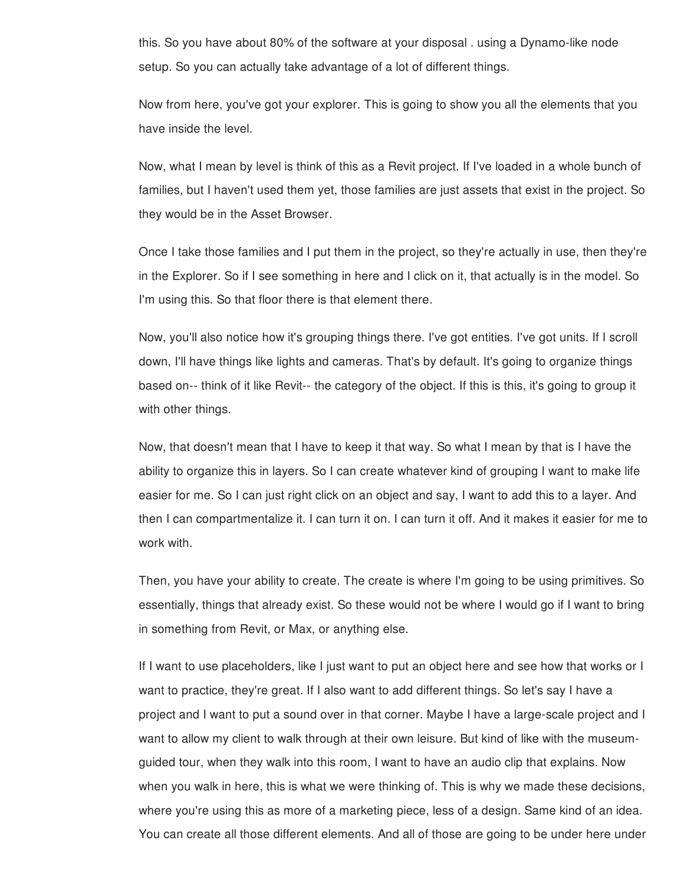this. So you have about 80% of the software at your disposal . using a Dynamo-like node setup. So you can actually take advantage of a lot of different things.

Now from here, you've got your explorer. This is going to show you all the elements that you have inside the level.

Now, what I mean by level is think of this as a Revit project. If I've loaded in a whole bunch of families, but I haven't used them yet, those families are just assets that exist in the project. So they would be in the Asset Browser.

Once I take those families and I put them in the project, so they're actually in use, then they're in the Explorer. So if I see something in here and I click on it, that actually is in the model. So I'm using this. So that floor there is that element there.

Now, you'll also notice how it's grouping things there. I've got entities. I've got units. If I scroll down, I'll have things like lights and cameras. That's by default. It's going to organize things based on-- think of it like Revit-- the category of the object. If this is this, it's going to group it with other things.

Now, that doesn't mean that I have to keep it that way. So what I mean by that is I have the ability to organize this in layers. So I can create whatever kind of grouping I want to make life easier for me. So I can just right click on an object and say, I want to add this to a layer. And then I can compartmentalize it. I can turn it on. I can turn it off. And it makes it easier for me to work with.

Then, you have your ability to create. The create is where I'm going to be using primitives. So essentially, things that already exist. So these would not be where I would go if I want to bring in something from Revit, or Max, or anything else.

If I want to use placeholders, like I just want to put an object here and see how that works or I want to practice, they're great. If I also want to add different things. So let's say I have a project and I want to put a sound over in that corner. Maybe I have a large-scale project and I want to allow my client to walk through at their own leisure. But kind of like with the museumguided tour, when they walk into this room, I want to have an audio clip that explains. Now when you walk in here, this is what we were thinking of. This is why we made these decisions, where you're using this as more of a marketing piece, less of a design. Same kind of an idea. You can create all those different elements. And all of those are going to be under here under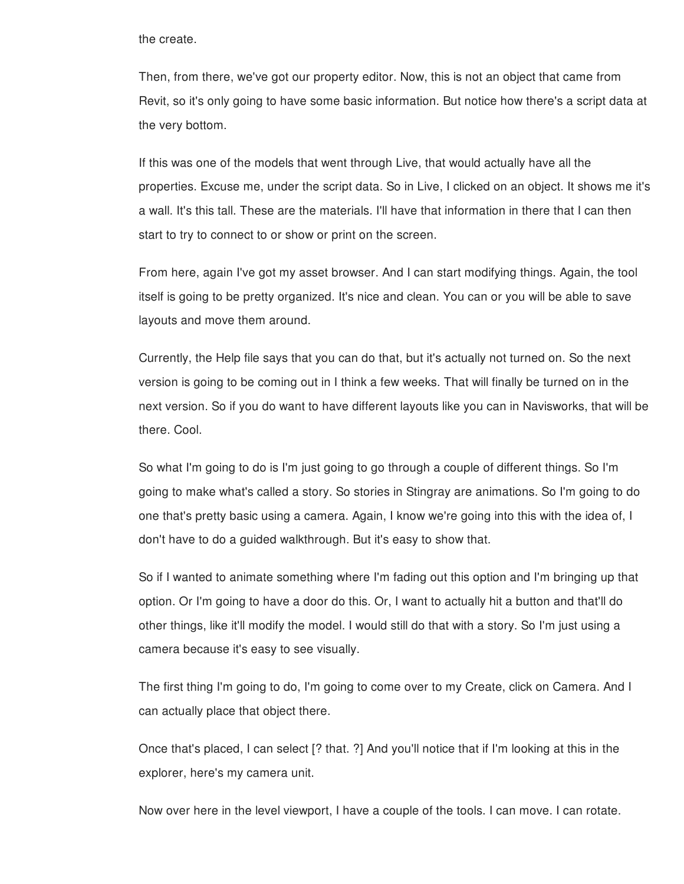the create.

Then, from there, we've got our property editor. Now, this is not an object that came from Revit, so it's only going to have some basic information. But notice how there's a script data at the very bottom.

If this was one of the models that went through Live, that would actually have all the properties. Excuse me, under the script data. So in Live, I clicked on an object. It shows me it's a wall. It's this tall. These are the materials. I'll have that information in there that I can then start to try to connect to or show or print on the screen.

From here, again I've got my asset browser. And I can start modifying things. Again, the tool itself is going to be pretty organized. It's nice and clean. You can or you will be able to save layouts and move them around.

Currently, the Help file says that you can do that, but it's actually not turned on. So the next version is going to be coming out in I think a few weeks. That will finally be turned on in the next version. So if you do want to have different layouts like you can in Navisworks, that will be there. Cool.

So what I'm going to do is I'm just going to go through a couple of different things. So I'm going to make what's called a story. So stories in Stingray are animations. So I'm going to do one that's pretty basic using a camera. Again, I know we're going into this with the idea of, I don't have to do a guided walkthrough. But it's easy to show that.

So if I wanted to animate something where I'm fading out this option and I'm bringing up that option. Or I'm going to have a door do this. Or, I want to actually hit a button and that'll do other things, like it'll modify the model. I would still do that with a story. So I'm just using a camera because it's easy to see visually.

The first thing I'm going to do, I'm going to come over to my Create, click on Camera. And I can actually place that object there.

Once that's placed, I can select [? that. ?] And you'll notice that if I'm looking at this in the explorer, here's my camera unit.

Now over here in the level viewport, I have a couple of the tools. I can move. I can rotate.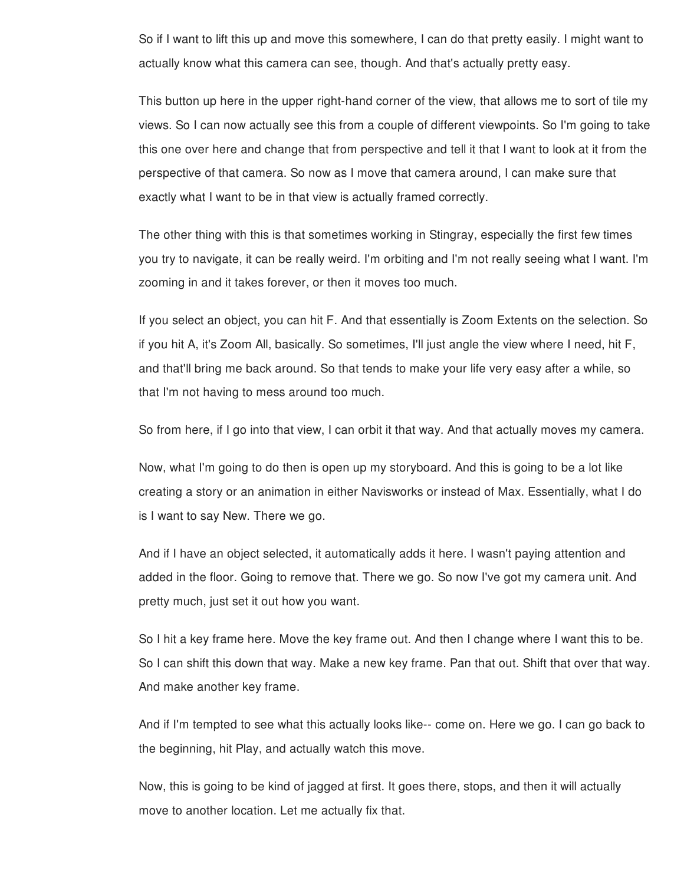So if I want to lift this up and move this somewhere, I can do that pretty easily. I might want to actually know what this camera can see, though. And that's actually pretty easy.

This button up here in the upper right-hand corner of the view, that allows me to sort of tile my views. So I can now actually see this from a couple of different viewpoints. So I'm going to take this one over here and change that from perspective and tell it that I want to look at it from the perspective of that camera. So now as I move that camera around, I can make sure that exactly what I want to be in that view is actually framed correctly.

The other thing with this is that sometimes working in Stingray, especially the first few times you try to navigate, it can be really weird. I'm orbiting and I'm not really seeing what I want. I'm zooming in and it takes forever, or then it moves too much.

If you select an object, you can hit F. And that essentially is Zoom Extents on the selection. So if you hit A, it's Zoom All, basically. So sometimes, I'll just angle the view where I need, hit F, and that'll bring me back around. So that tends to make your life very easy after a while, so that I'm not having to mess around too much.

So from here, if I go into that view, I can orbit it that way. And that actually moves my camera.

Now, what I'm going to do then is open up my storyboard. And this is going to be a lot like creating a story or an animation in either Navisworks or instead of Max. Essentially, what I do is I want to say New. There we go.

And if I have an object selected, it automatically adds it here. I wasn't paying attention and added in the floor. Going to remove that. There we go. So now I've got my camera unit. And pretty much, just set it out how you want.

So I hit a key frame here. Move the key frame out. And then I change where I want this to be. So I can shift this down that way. Make a new key frame. Pan that out. Shift that over that way. And make another key frame.

And if I'm tempted to see what this actually looks like-- come on. Here we go. I can go back to the beginning, hit Play, and actually watch this move.

Now, this is going to be kind of jagged at first. It goes there, stops, and then it will actually move to another location. Let me actually fix that.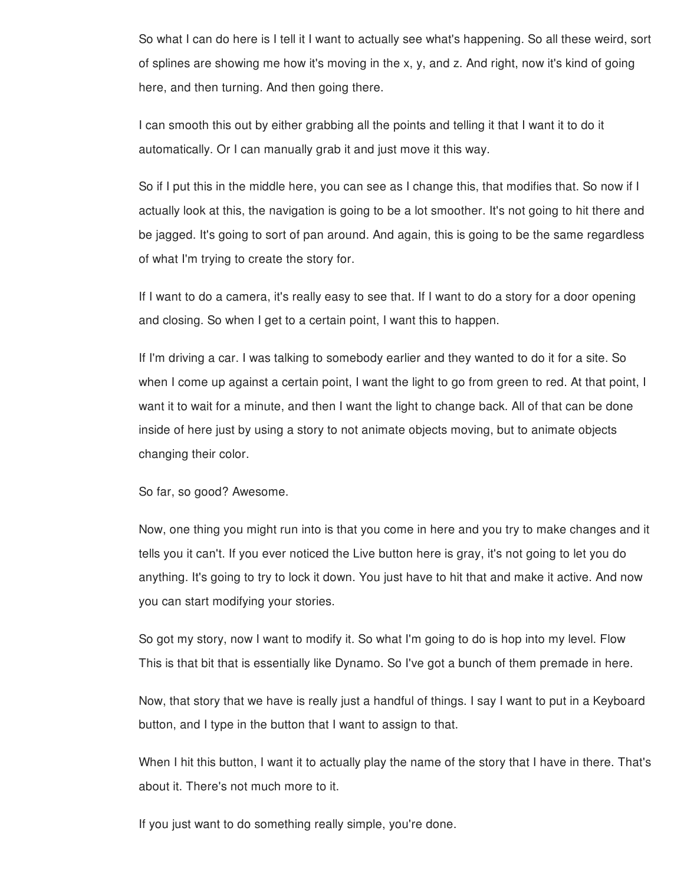So what I can do here is I tell it I want to actually see what's happening. So all these weird, sort of splines are showing me how it's moving in the x, y, and z. And right, now it's kind of going here, and then turning. And then going there.

I can smooth this out by either grabbing all the points and telling it that I want it to do it automatically. Or I can manually grab it and just move it this way.

So if I put this in the middle here, you can see as I change this, that modifies that. So now if I actually look at this, the navigation is going to be a lot smoother. It's not going to hit there and be jagged. It's going to sort of pan around. And again, this is going to be the same regardless of what I'm trying to create the story for.

If I want to do a camera, it's really easy to see that. If I want to do a story for a door opening and closing. So when I get to a certain point, I want this to happen.

If I'm driving a car. I was talking to somebody earlier and they wanted to do it for a site. So when I come up against a certain point, I want the light to go from green to red. At that point, I want it to wait for a minute, and then I want the light to change back. All of that can be done inside of here just by using a story to not animate objects moving, but to animate objects changing their color.

So far, so good? Awesome.

Now, one thing you might run into is that you come in here and you try to make changes and it tells you it can't. If you ever noticed the Live button here is gray, it's not going to let you do anything. It's going to try to lock it down. You just have to hit that and make it active. And now you can start modifying your stories.

So got my story, now I want to modify it. So what I'm going to do is hop into my level. Flow This is that bit that is essentially like Dynamo. So I've got a bunch of them premade in here.

Now, that story that we have is really just a handful of things. I say I want to put in a Keyboard button, and I type in the button that I want to assign to that.

When I hit this button, I want it to actually play the name of the story that I have in there. That's about it. There's not much more to it.

If you just want to do something really simple, you're done.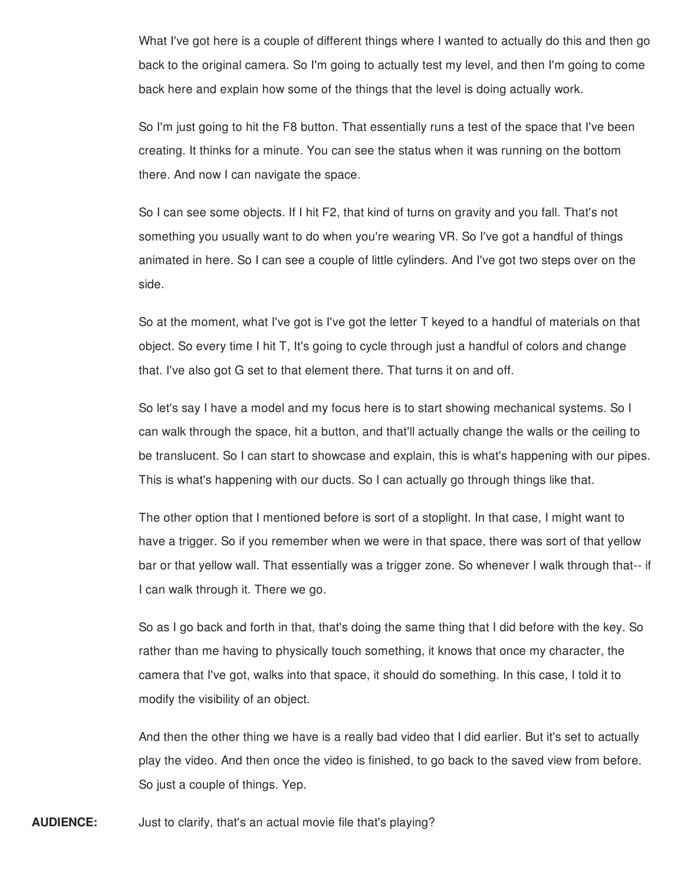What I've got here is a couple of different things where I wanted to actually do this and then go back to the original camera. So I'm going to actually test my level, and then I'm going to come back here and explain how some of the things that the level is doing actually work.

So I'm just going to hit the F8 button. That essentially runs a test of the space that I've been creating. It thinks for a minute. You can see the status when it was running on the bottom there. And now I can navigate the space.

So I can see some objects. If I hit F2, that kind of turns on gravity and you fall. That's not something you usually want to do when you're wearing VR. So I've got a handful of things animated in here. So I can see a couple of little cylinders. And I've got two steps over on the side.

So at the moment, what I've got is I've got the letter T keyed to a handful of materials on that object. So every time I hit T, It's going to cycle through just a handful of colors and change that. I've also got G set to that element there. That turns it on and off.

So let's say I have a model and my focus here is to start showing mechanical systems. So I can walk through the space, hit a button, and that'll actually change the walls or the ceiling to be translucent. So I can start to showcase and explain, this is what's happening with our pipes. This is what's happening with our ducts. So I can actually go through things like that.

The other option that I mentioned before is sort of a stoplight. In that case, I might want to have a trigger. So if you remember when we were in that space, there was sort of that yellow bar or that yellow wall. That essentially was a trigger zone. So whenever I walk through that-- if I can walk through it. There we go.

So as I go back and forth in that, that's doing the same thing that I did before with the key. So rather than me having to physically touch something, it knows that once my character, the camera that I've got, walks into that space, it should do something. In this case, I told it to modify the visibility of an object.

And then the other thing we have is a really bad video that I did earlier. But it's set to actually play the video. And then once the video is finished, to go back to the saved view from before. So just a couple of things. Yep.

**AUDIENCE:** Just to clarify, that's an actual movie file that's playing?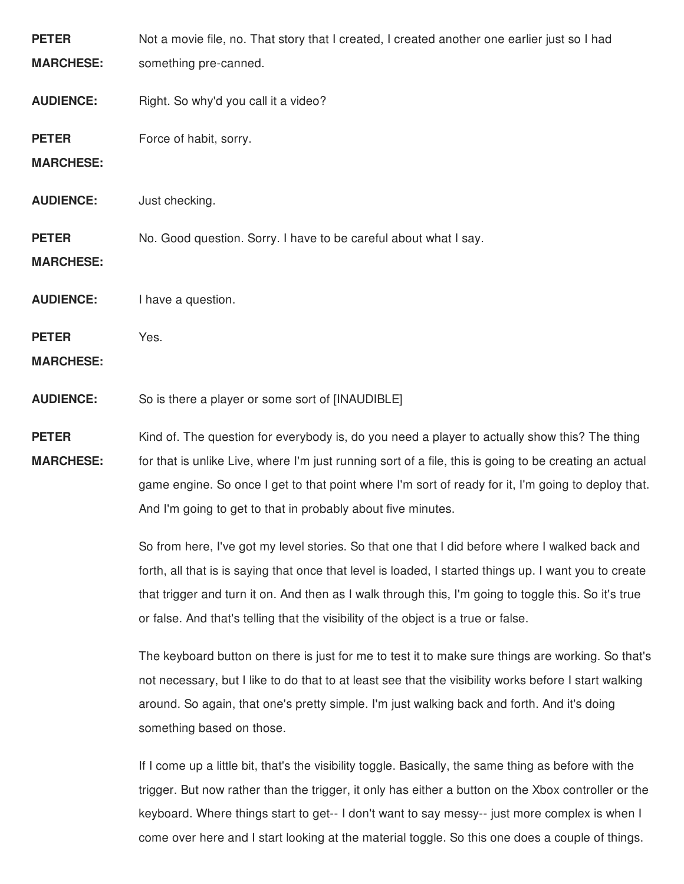| <b>PETER</b>     | Not a movie file, no. That story that I created, I created another one earlier just so I had           |
|------------------|--------------------------------------------------------------------------------------------------------|
| <b>MARCHESE:</b> | something pre-canned.                                                                                  |
| <b>AUDIENCE:</b> | Right. So why'd you call it a video?                                                                   |
| <b>PETER</b>     | Force of habit, sorry.                                                                                 |
| <b>MARCHESE:</b> |                                                                                                        |
| <b>AUDIENCE:</b> | Just checking.                                                                                         |
| <b>PETER</b>     | No. Good question. Sorry. I have to be careful about what I say.                                       |
| <b>MARCHESE:</b> |                                                                                                        |
| <b>AUDIENCE:</b> | I have a question.                                                                                     |
| <b>PETER</b>     | Yes.                                                                                                   |
| <b>MARCHESE:</b> |                                                                                                        |
| <b>AUDIENCE:</b> | So is there a player or some sort of [INAUDIBLE]                                                       |
| <b>PETER</b>     | Kind of. The question for everybody is, do you need a player to actually show this? The thing          |
| <b>MARCHESE:</b> | for that is unlike Live, where I'm just running sort of a file, this is going to be creating an actual |
|                  | game engine. So once I get to that point where I'm sort of ready for it, I'm going to deploy that.     |
|                  | And I'm going to get to that in probably about five minutes.                                           |
|                  | So from here, I've got my level stories. So that one that I did before where I walked back and         |
|                  | forth, all that is is saying that once that level is loaded, I started things up. I want you to create |
|                  | that trigger and turn it on. And then as I walk through this, I'm going to toggle this. So it's true   |
|                  | or false. And that's telling that the visibility of the object is a true or false.                     |
|                  | The keyboard button on there is just for me to test it to make sure things are working. So that's      |
|                  | not necessary, but I like to do that to at least see that the visibility works before I start walking  |
|                  | around. So again, that one's pretty simple. I'm just walking back and forth. And it's doing            |
|                  | something based on those.                                                                              |
|                  | If I come up a little bit, that's the visibility toggle. Basically, the same thing as before with the  |
|                  |                                                                                                        |

trigger. But now rather than the trigger, it only has either a button on the Xbox controller or the keyboard. Where things start to get-- I don't want to say messy-- just more complex is when I come over here and I start looking at the material toggle. So this one does a couple of things.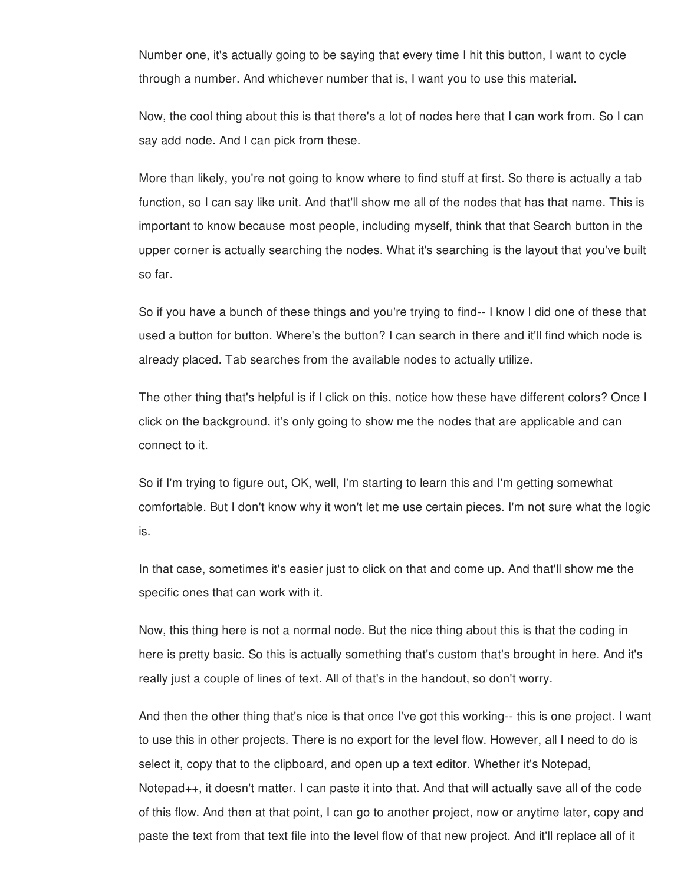Number one, it's actually going to be saying that every time I hit this button, I want to cycle through a number. And whichever number that is, I want you to use this material.

Now, the cool thing about this is that there's a lot of nodes here that I can work from. So I can say add node. And I can pick from these.

More than likely, you're not going to know where to find stuff at first. So there is actually a tab function, so I can say like unit. And that'll show me all of the nodes that has that name. This is important to know because most people, including myself, think that that Search button in the upper corner is actually searching the nodes. What it's searching is the layout that you've built so far.

So if you have a bunch of these things and you're trying to find-- I know I did one of these that used a button for button. Where's the button? I can search in there and it'll find which node is already placed. Tab searches from the available nodes to actually utilize.

The other thing that's helpful is if I click on this, notice how these have different colors? Once I click on the background, it's only going to show me the nodes that are applicable and can connect to it.

So if I'm trying to figure out, OK, well, I'm starting to learn this and I'm getting somewhat comfortable. But I don't know why it won't let me use certain pieces. I'm not sure what the logic is.

In that case, sometimes it's easier just to click on that and come up. And that'll show me the specific ones that can work with it.

Now, this thing here is not a normal node. But the nice thing about this is that the coding in here is pretty basic. So this is actually something that's custom that's brought in here. And it's really just a couple of lines of text. All of that's in the handout, so don't worry.

And then the other thing that's nice is that once I've got this working-- this is one project. I want to use this in other projects. There is no export for the level flow. However, all I need to do is select it, copy that to the clipboard, and open up a text editor. Whether it's Notepad, Notepad++, it doesn't matter. I can paste it into that. And that will actually save all of the code of this flow. And then at that point, I can go to another project, now or anytime later, copy and paste the text from that text file into the level flow of that new project. And it'll replace all of it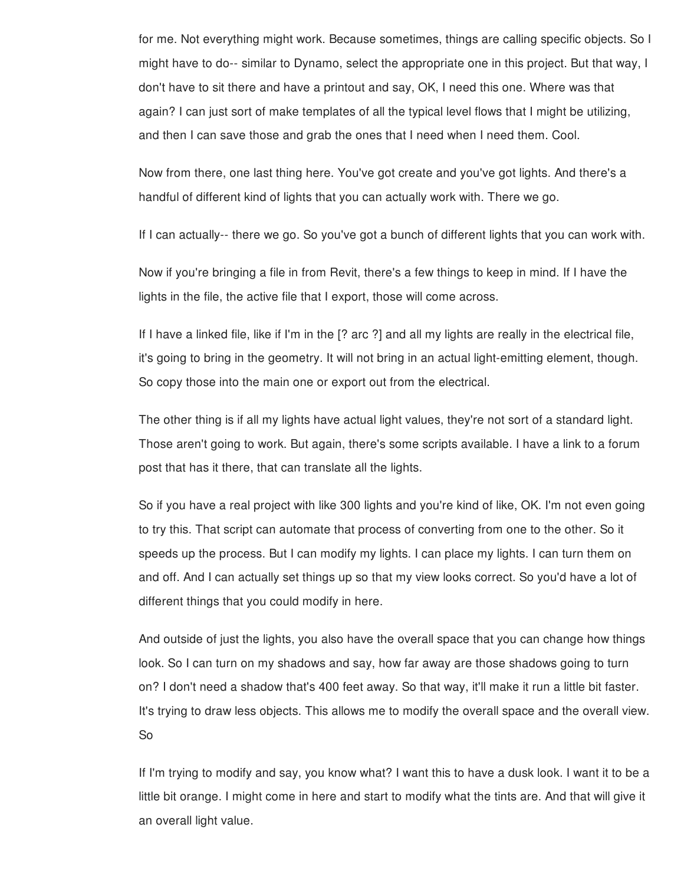for me. Not everything might work. Because sometimes, things are calling specific objects. So I might have to do-- similar to Dynamo, select the appropriate one in this project. But that way, I don't have to sit there and have a printout and say, OK, I need this one. Where was that again? I can just sort of make templates of all the typical level flows that I might be utilizing, and then I can save those and grab the ones that I need when I need them. Cool.

Now from there, one last thing here. You've got create and you've got lights. And there's a handful of different kind of lights that you can actually work with. There we go.

If I can actually-- there we go. So you've got a bunch of different lights that you can work with.

Now if you're bringing a file in from Revit, there's a few things to keep in mind. If I have the lights in the file, the active file that I export, those will come across.

If I have a linked file, like if I'm in the [? arc ?] and all my lights are really in the electrical file, it's going to bring in the geometry. It will not bring in an actual light-emitting element, though. So copy those into the main one or export out from the electrical.

The other thing is if all my lights have actual light values, they're not sort of a standard light. Those aren't going to work. But again, there's some scripts available. I have a link to a forum post that has it there, that can translate all the lights.

So if you have a real project with like 300 lights and you're kind of like, OK. I'm not even going to try this. That script can automate that process of converting from one to the other. So it speeds up the process. But I can modify my lights. I can place my lights. I can turn them on and off. And I can actually set things up so that my view looks correct. So you'd have a lot of different things that you could modify in here.

And outside of just the lights, you also have the overall space that you can change how things look. So I can turn on my shadows and say, how far away are those shadows going to turn on? I don't need a shadow that's 400 feet away. So that way, it'll make it run a little bit faster. It's trying to draw less objects. This allows me to modify the overall space and the overall view. So

If I'm trying to modify and say, you know what? I want this to have a dusk look. I want it to be a little bit orange. I might come in here and start to modify what the tints are. And that will give it an overall light value.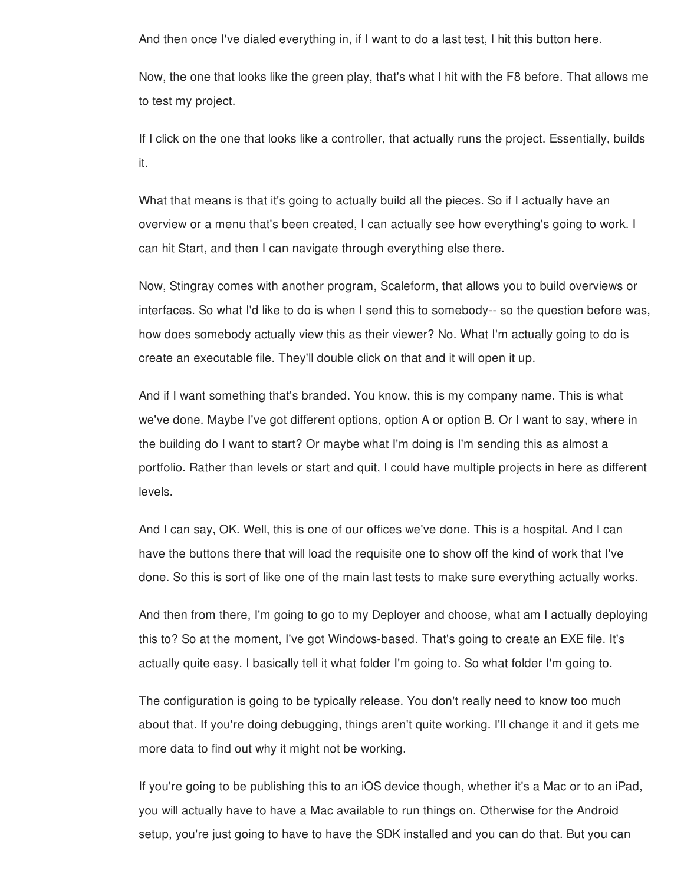And then once I've dialed everything in, if I want to do a last test, I hit this button here.

Now, the one that looks like the green play, that's what I hit with the F8 before. That allows me to test my project.

If I click on the one that looks like a controller, that actually runs the project. Essentially, builds it.

What that means is that it's going to actually build all the pieces. So if I actually have an overview or a menu that's been created, I can actually see how everything's going to work. I can hit Start, and then I can navigate through everything else there.

Now, Stingray comes with another program, Scaleform, that allows you to build overviews or interfaces. So what I'd like to do is when I send this to somebody-- so the question before was, how does somebody actually view this as their viewer? No. What I'm actually going to do is create an executable file. They'll double click on that and it will open it up.

And if I want something that's branded. You know, this is my company name. This is what we've done. Maybe I've got different options, option A or option B. Or I want to say, where in the building do I want to start? Or maybe what I'm doing is I'm sending this as almost a portfolio. Rather than levels or start and quit, I could have multiple projects in here as different levels.

And I can say, OK. Well, this is one of our offices we've done. This is a hospital. And I can have the buttons there that will load the requisite one to show off the kind of work that I've done. So this is sort of like one of the main last tests to make sure everything actually works.

And then from there, I'm going to go to my Deployer and choose, what am I actually deploying this to? So at the moment, I've got Windows-based. That's going to create an EXE file. It's actually quite easy. I basically tell it what folder I'm going to. So what folder I'm going to.

The configuration is going to be typically release. You don't really need to know too much about that. If you're doing debugging, things aren't quite working. I'll change it and it gets me more data to find out why it might not be working.

If you're going to be publishing this to an iOS device though, whether it's a Mac or to an iPad, you will actually have to have a Mac available to run things on. Otherwise for the Android setup, you're just going to have to have the SDK installed and you can do that. But you can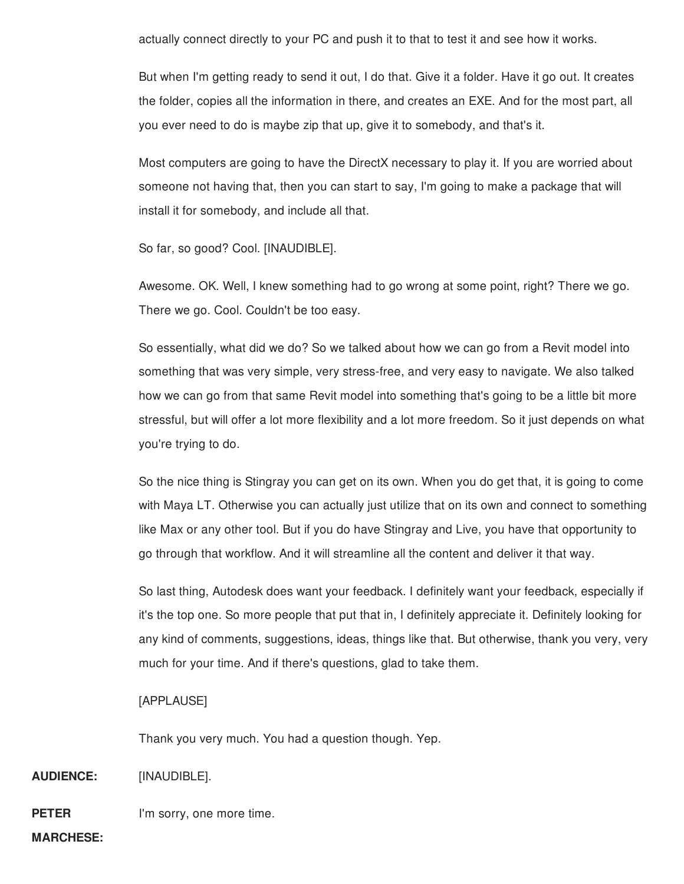actually connect directly to your PC and push it to that to test it and see how it works.

But when I'm getting ready to send it out, I do that. Give it a folder. Have it go out. It creates the folder, copies all the information in there, and creates an EXE. And for the most part, all you ever need to do is maybe zip that up, give it to somebody, and that's it.

Most computers are going to have the DirectX necessary to play it. If you are worried about someone not having that, then you can start to say, I'm going to make a package that will install it for somebody, and include all that.

So far, so good? Cool. [INAUDIBLE].

Awesome. OK. Well, I knew something had to go wrong at some point, right? There we go. There we go. Cool. Couldn't be too easy.

So essentially, what did we do? So we talked about how we can go from a Revit model into something that was very simple, very stress-free, and very easy to navigate. We also talked how we can go from that same Revit model into something that's going to be a little bit more stressful, but will offer a lot more flexibility and a lot more freedom. So it just depends on what you're trying to do.

So the nice thing is Stingray you can get on its own. When you do get that, it is going to come with Maya LT. Otherwise you can actually just utilize that on its own and connect to something like Max or any other tool. But if you do have Stingray and Live, you have that opportunity to go through that workflow. And it will streamline all the content and deliver it that way.

So last thing, Autodesk does want your feedback. I definitely want your feedback, especially if it's the top one. So more people that put that in, I definitely appreciate it. Definitely looking for any kind of comments, suggestions, ideas, things like that. But otherwise, thank you very, very much for your time. And if there's questions, glad to take them.

### [APPLAUSE]

Thank you very much. You had a question though. Yep.

**AUDIENCE:** [INAUDIBLE].

**PETER** I'm sorry, one more time.

**MARCHESE:**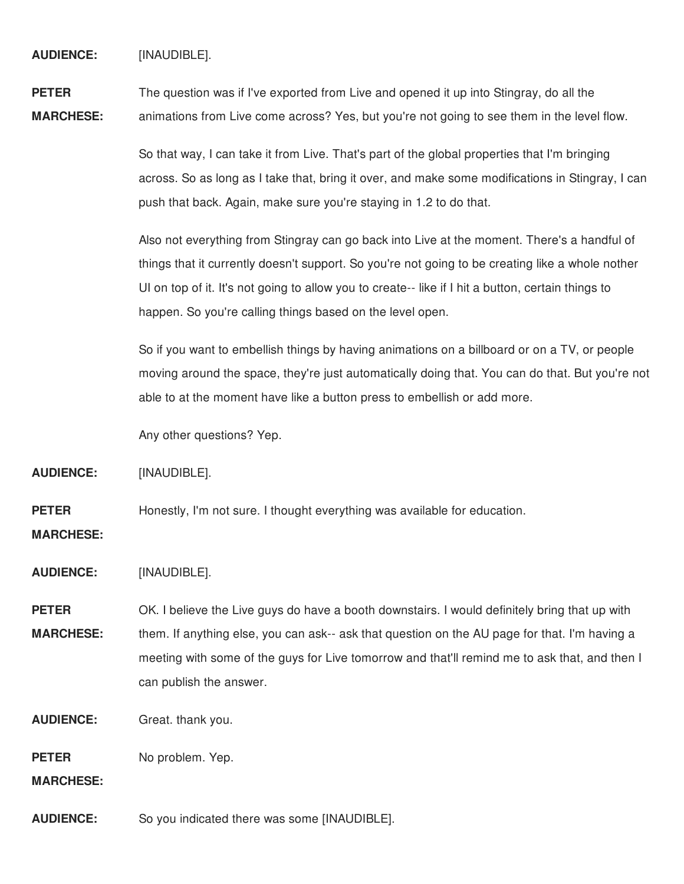**AUDIENCE:** [INAUDIBLE].

**PETER MARCHESE:** The question was if I've exported from Live and opened it up into Stingray, do all the animations from Live come across? Yes, but you're not going to see them in the level flow.

> So that way, I can take it from Live. That's part of the global properties that I'm bringing across. So as long as I take that, bring it over, and make some modifications in Stingray, I can push that back. Again, make sure you're staying in 1.2 to do that.

Also not everything from Stingray can go back into Live at the moment. There's a handful of things that it currently doesn't support. So you're not going to be creating like a whole nother UI on top of it. It's not going to allow you to create-- like if I hit a button, certain things to happen. So you're calling things based on the level open.

So if you want to embellish things by having animations on a billboard or on a TV, or people moving around the space, they're just automatically doing that. You can do that. But you're not able to at the moment have like a button press to embellish or add more.

Any other questions? Yep.

**AUDIENCE:** [INAUDIBLE].

**PETER** Honestly, I'm not sure. I thought everything was available for education.

**MARCHESE:**

**AUDIENCE:** [INAUDIBLE].

**PETER MARCHESE:** OK. I believe the Live guys do have a booth downstairs. I would definitely bring that up with them. If anything else, you can ask-- ask that question on the AU page for that. I'm having a meeting with some of the guys for Live tomorrow and that'll remind me to ask that, and then I can publish the answer.

**AUDIENCE:** Great. thank you.

**PETER** No problem. Yep.

**MARCHESE:**

**AUDIENCE:** So you indicated there was some [INAUDIBLE].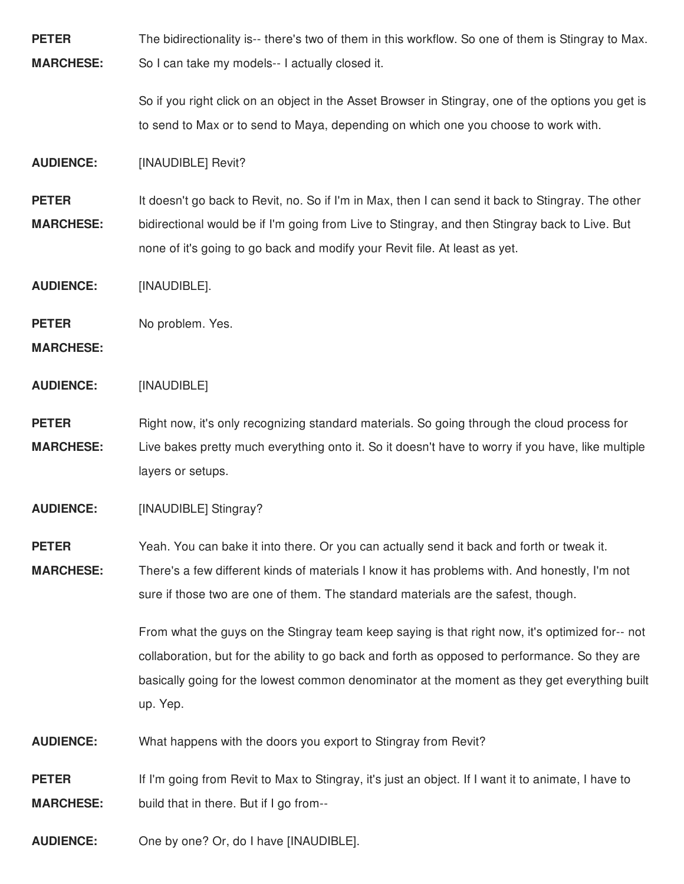**PETER MARCHESE:** The bidirectionality is-- there's two of them in this workflow. So one of them is Stingray to Max. So I can take my models-- I actually closed it.

> So if you right click on an object in the Asset Browser in Stingray, one of the options you get is to send to Max or to send to Maya, depending on which one you choose to work with.

**AUDIENCE:** [INAUDIBLE] Revit?

**PETER MARCHESE:** It doesn't go back to Revit, no. So if I'm in Max, then I can send it back to Stingray. The other bidirectional would be if I'm going from Live to Stingray, and then Stingray back to Live. But none of it's going to go back and modify your Revit file. At least as yet.

**AUDIENCE:** [INAUDIBLE].

**PETER** No problem. Yes.

**MARCHESE:**

**AUDIENCE:** [INAUDIBLE]

**PETER MARCHESE:** Right now, it's only recognizing standard materials. So going through the cloud process for Live bakes pretty much everything onto it. So it doesn't have to worry if you have, like multiple layers or setups.

**AUDIENCE:** [INAUDIBLE] Stingray?

**PETER MARCHESE:** Yeah. You can bake it into there. Or you can actually send it back and forth or tweak it.

There's a few different kinds of materials I know it has problems with. And honestly, I'm not sure if those two are one of them. The standard materials are the safest, though.

> From what the guys on the Stingray team keep saying is that right now, it's optimized for-- not collaboration, but for the ability to go back and forth as opposed to performance. So they are basically going for the lowest common denominator at the moment as they get everything built up. Yep.

**AUDIENCE:** What happens with the doors you export to Stingray from Revit?

**PETER MARCHESE:** If I'm going from Revit to Max to Stingray, it's just an object. If I want it to animate, I have to build that in there. But if I go from--

**AUDIENCE:** One by one? Or, do I have [INAUDIBLE].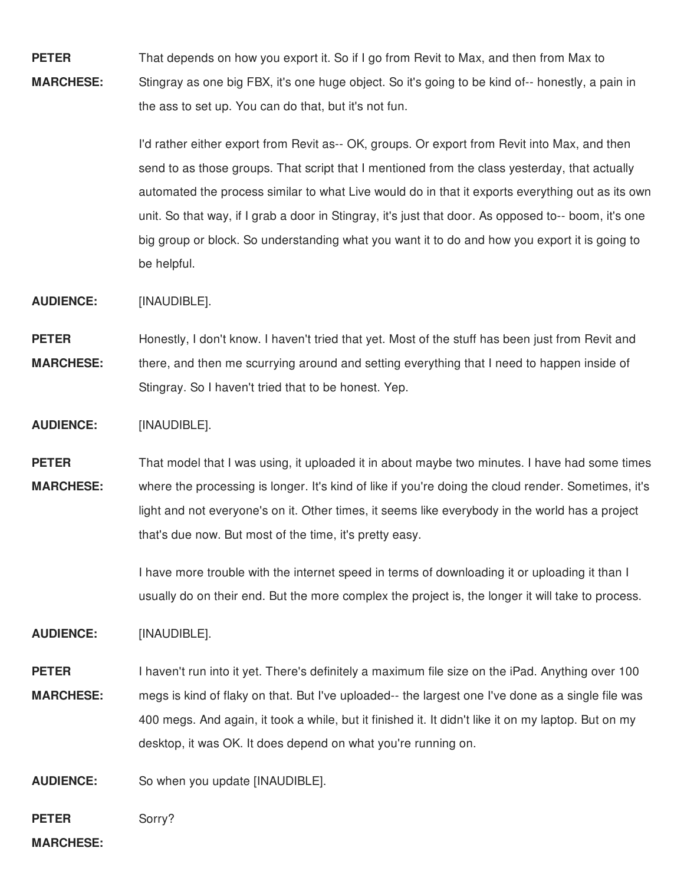**PETER MARCHESE:** That depends on how you export it. So if I go from Revit to Max, and then from Max to Stingray as one big FBX, it's one huge object. So it's going to be kind of-- honestly, a pain in the ass to set up. You can do that, but it's not fun.

> I'd rather either export from Revit as-- OK, groups. Or export from Revit into Max, and then send to as those groups. That script that I mentioned from the class yesterday, that actually automated the process similar to what Live would do in that it exports everything out as its own unit. So that way, if I grab a door in Stingray, it's just that door. As opposed to-- boom, it's one big group or block. So understanding what you want it to do and how you export it is going to be helpful.

**AUDIENCE:** [INAUDIBLE].

**PETER MARCHESE:** Honestly, I don't know. I haven't tried that yet. Most of the stuff has been just from Revit and there, and then me scurrying around and setting everything that I need to happen inside of Stingray. So I haven't tried that to be honest. Yep.

**AUDIENCE:** [INAUDIBLE].

**PETER MARCHESE:** That model that I was using, it uploaded it in about maybe two minutes. I have had some times where the processing is longer. It's kind of like if you're doing the cloud render. Sometimes, it's light and not everyone's on it. Other times, it seems like everybody in the world has a project that's due now. But most of the time, it's pretty easy.

> I have more trouble with the internet speed in terms of downloading it or uploading it than I usually do on their end. But the more complex the project is, the longer it will take to process.

**AUDIENCE:** [INAUDIBLE].

**PETER MARCHESE:** I haven't run into it yet. There's definitely a maximum file size on the iPad. Anything over 100 megs is kind of flaky on that. But I've uploaded-- the largest one I've done as a single file was 400 megs. And again, it took a while, but it finished it. It didn't like it on my laptop. But on my desktop, it was OK. It does depend on what you're running on.

**AUDIENCE:** So when you update [INAUDIBLE].

**PETER** Sorry?

**MARCHESE:**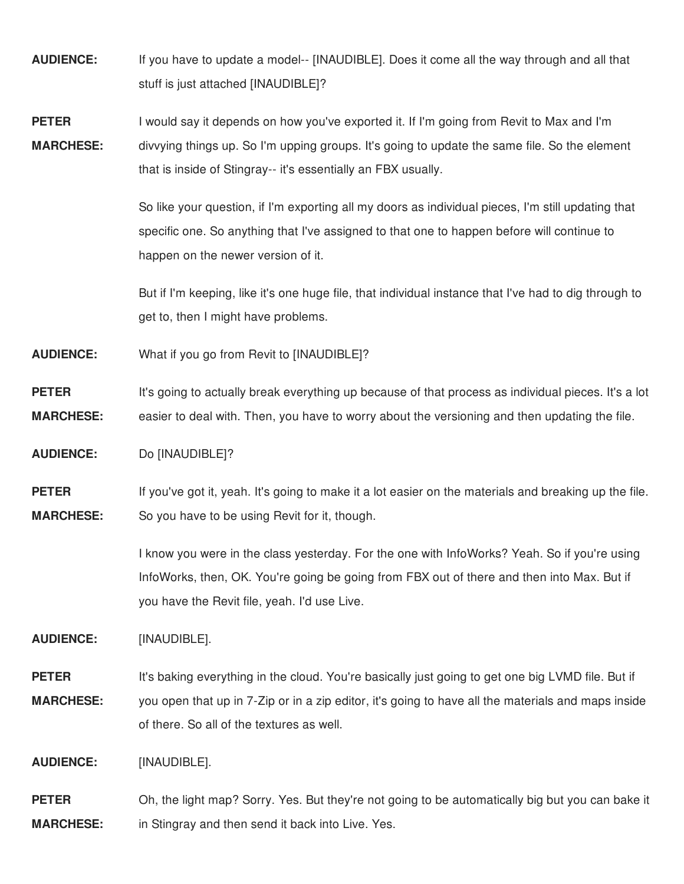- **AUDIENCE:** If you have to update a model-- [INAUDIBLE]. Does it come all the way through and all that stuff is just attached [INAUDIBLE]?
- **PETER MARCHESE:** I would say it depends on how you've exported it. If I'm going from Revit to Max and I'm divvying things up. So I'm upping groups. It's going to update the same file. So the element that is inside of Stingray-- it's essentially an FBX usually.

So like your question, if I'm exporting all my doors as individual pieces, I'm still updating that specific one. So anything that I've assigned to that one to happen before will continue to happen on the newer version of it.

But if I'm keeping, like it's one huge file, that individual instance that I've had to dig through to get to, then I might have problems.

**AUDIENCE:** What if you go from Revit to [INAUDIBLE]?

**PETER MARCHESE:** It's going to actually break everything up because of that process as individual pieces. It's a lot easier to deal with. Then, you have to worry about the versioning and then updating the file.

**AUDIENCE:** Do [INAUDIBLE]?

**PETER MARCHESE:** If you've got it, yeah. It's going to make it a lot easier on the materials and breaking up the file. So you have to be using Revit for it, though.

> I know you were in the class yesterday. For the one with InfoWorks? Yeah. So if you're using InfoWorks, then, OK. You're going be going from FBX out of there and then into Max. But if you have the Revit file, yeah. I'd use Live.

**AUDIENCE:** [INAUDIBLE].

**PETER MARCHESE:** It's baking everything in the cloud. You're basically just going to get one big LVMD file. But if you open that up in 7-Zip or in a zip editor, it's going to have all the materials and maps inside of there. So all of the textures as well.

**AUDIENCE:** [INAUDIBLE].

**PETER MARCHESE:** Oh, the light map? Sorry. Yes. But they're not going to be automatically big but you can bake it in Stingray and then send it back into Live. Yes.